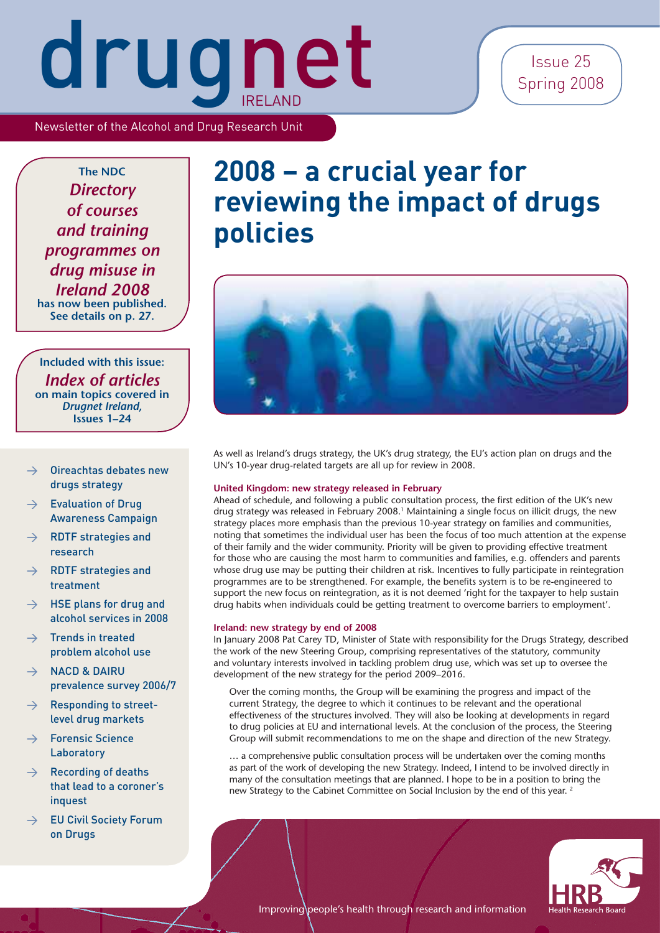### Issue 25 Spring 2008

Newsletter of the Alcohol and Drug Research Unit

**The NDC** *Directory of courses and training programmes on drug misuse in Ireland 2008* **has now been published. See details on p. 27.**

**Included with this issue:** *Index of articles* **on main topics covered in**  *Drugnet Ireland***, Issues 1–24**

- $\rightarrow$  Oireachtas debates new drugs strategy
- $\rightarrow$  Evaluation of Drug Awareness Campaign
- $\rightarrow$  RDTF strategies and research
- $\rightarrow$  RDTF strategies and treatment
- $\rightarrow$  HSE plans for drug and alcohol services in 2008
- $\rightarrow$  Trends in treated problem alcohol use
- $\rightarrow$  NACD & DAIRU prevalence survey 2006/7
- $\rightarrow$  Responding to streetlevel drug markets
- $\rightarrow$  Forensic Science Laboratory
- $\rightarrow$  Recording of deaths that lead to a coroner's inquest
- $\rightarrow$  EU Civil Society Forum on Drugs

### **2008 – a crucial year for reviewing the impact of drugs policies**



As well as Ireland's drugs strategy, the UK's drug strategy, the EU's action plan on drugs and the UN's 10-year drug-related targets are all up for review in 2008.

#### **United Kingdom: new strategy released in February**

Ahead of schedule, and following a public consultation process, the first edition of the UK's new drug strategy was released in February 2008.<sup>1</sup> Maintaining a single focus on illicit drugs, the new strategy places more emphasis than the previous 10-year strategy on families and communities, noting that sometimes the individual user has been the focus of too much attention at the expense of their family and the wider community. Priority will be given to providing effective treatment for those who are causing the most harm to communities and families, e.g. offenders and parents whose drug use may be putting their children at risk. Incentives to fully participate in reintegration programmes are to be strengthened. For example, the benefits system is to be re-engineered to support the new focus on reintegration, as it is not deemed 'right for the taxpayer to help sustain drug habits when individuals could be getting treatment to overcome barriers to employment'.

#### **Ireland: new strategy by end of 2008**

In January 2008 Pat Carey TD, Minister of State with responsibility for the Drugs Strategy, described the work of the new Steering Group, comprising representatives of the statutory, community and voluntary interests involved in tackling problem drug use, which was set up to oversee the development of the new strategy for the period 2009–2016.

Over the coming months, the Group will be examining the progress and impact of the current Strategy, the degree to which it continues to be relevant and the operational effectiveness of the structures involved. They will also be looking at developments in regard to drug policies at EU and international levels. At the conclusion of the process, the Steering Group will submit recommendations to me on the shape and direction of the new Strategy.

… a comprehensive public consultation process will be undertaken over the coming months as part of the work of developing the new Strategy. Indeed, I intend to be involved directly in many of the consultation meetings that are planned. I hope to be in a position to bring the new Strategy to the Cabinet Committee on Social Inclusion by the end of this year. 2

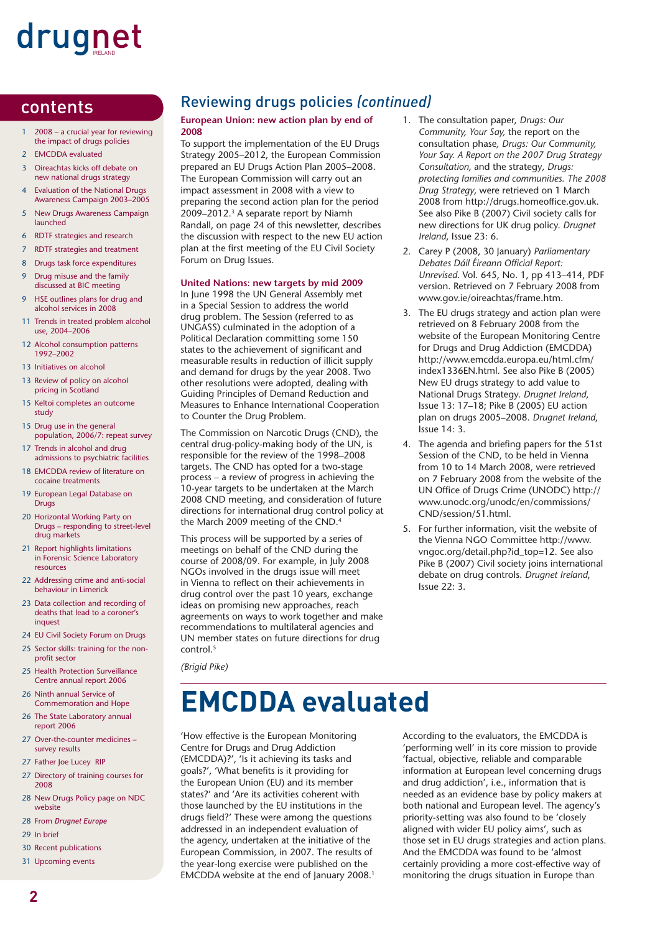#### contents

- 1 2008 a crucial year for reviewing the impact of drugs policies
- 2 **EMCDDA** evaluated
- 3 Oireachtas kicks off debate on new national drugs strategy
- 4 Evaluation of the National Drugs Awareness Campaign 2003–2005
- 5 New Drugs Awareness Campaign launched
- 6 RDTF strategies and research
- 7 RDTF strategies and treatment
- 8 Drugs task force expenditures
- 9 Drug misuse and the family discussed at BIC meeting
- 9 HSE outlines plans for drug and alcohol services in 2008
- 11 Trends in treated problem alcohol use, 2004–2006
- 12 Alcohol consumption patterns 1992–2002
- 13 Initiatives on alcohol
- 13 Review of policy on alcohol pricing in Scotland
- 15 Keltoi completes an outcome study
- 15 Drug use in the general population, 2006/7: repeat survey
- 17 Trends in alcohol and drug admissions to psychiatric facilities
- 18 EMCDDA review of literature on cocaine treatments
- 19 European Legal Database on **Drugs**
- 20 Horizontal Working Party on Drugs – responding to street-level drug markets
- 21 Report highlights limitations in Forensic Science Laboratory resources
- 22 Addressing crime and anti-social behaviour in Limerick
- 23 Data collection and recording of deaths that lead to a coroner's inquest
- 24 EU Civil Society Forum on Drugs
- 25 Sector skills: training for the nonprofit sector
- 25 Health Protection Surveillance Centre annual report 2006
- 26 Ninth annual Service of Commemoration and Hope
- 26 The State Laboratory annual report 2006
- 27 Over-the-counter medicines survey results
- 27 Father Joe Lucey RIP
- 27 Directory of training courses for 2008
- 28 New Drugs Policy page on NDC website
- 28 From *Drugnet Europe*
- 29 In brief
- 30 Recent publications
- 31 Upcoming events

#### Reviewing drugs policies *(continued)*

#### **European Union: new action plan by end of 2008**

To support the implementation of the EU Drugs Strategy 2005–2012, the European Commission prepared an EU Drugs Action Plan 2005–2008. The European Commission will carry out an impact assessment in 2008 with a view to preparing the second action plan for the period 2009–2012.3 A separate report by Niamh Randall, on page 24 of this newsletter, describes the discussion with respect to the new EU action plan at the first meeting of the EU Civil Society Forum on Drug Issues.

#### **United Nations: new targets by mid 2009**

In June 1998 the UN General Assembly met in a Special Session to address the world drug problem. The Session (referred to as UNGASS) culminated in the adoption of a Political Declaration committing some 150 states to the achievement of significant and measurable results in reduction of illicit supply and demand for drugs by the year 2008. Two other resolutions were adopted, dealing with Guiding Principles of Demand Reduction and Measures to Enhance International Cooperation to Counter the Drug Problem.

The Commission on Narcotic Drugs (CND), the central drug-policy-making body of the UN, is responsible for the review of the 1998–2008 targets. The CND has opted for a two-stage process – a review of progress in achieving the 10-year targets to be undertaken at the March 2008 CND meeting, and consideration of future directions for international drug control policy at the March 2009 meeting of the CND.4

This process will be supported by a series of meetings on behalf of the CND during the course of 2008/09. For example, in July 2008 NGOs involved in the drugs issue will meet in Vienna to reflect on their achievements in drug control over the past 10 years, exchange ideas on promising new approaches, reach agreements on ways to work together and make recommendations to multilateral agencies and UN member states on future directions for drug control.<sup>5</sup>

*(Brigid Pike)*

# **EMCDDA evaluated**

'How effective is the European Monitoring Centre for Drugs and Drug Addiction (EMCDDA)?', 'Is it achieving its tasks and goals?', 'What benefits is it providing for the European Union (EU) and its member states?' and 'Are its activities coherent with those launched by the EU institutions in the drugs field?' These were among the questions addressed in an independent evaluation of the agency, undertaken at the initiative of the European Commission, in 2007. The results of the year-long exercise were published on the EMCDDA website at the end of January 2008.<sup>1</sup>

- 1. The consultation paper, *Drugs: Our Community, Your Say,* the report on the consultation phase*, Drugs: Our Community, Your Say. A Report on the 2007 Drug Strategy Consultation,* and the strategy*, Drugs: protecting families and communities. The 2008 Drug Strategy*, were retrieved on 1 March 2008 from http://drugs.homeoffice.gov.uk. See also Pike B (2007) Civil society calls for new directions for UK drug policy. *Drugnet Ireland*, Issue 23: 6.
- 2. Carey P (2008, 30 January) *Parliamentary Debates Dáil Éireann Official Report: Unrevised*. Vol. 645, No. 1, pp 413–414, PDF version. Retrieved on 7 February 2008 from www.gov.ie/oireachtas/frame.htm.
- 3. The EU drugs strategy and action plan were retrieved on 8 February 2008 from the website of the European Monitoring Centre for Drugs and Drug Addiction (EMCDDA) http://www.emcdda.europa.eu/html.cfm/ index1336EN.html. See also Pike B (2005) New EU drugs strategy to add value to National Drugs Strategy. *Drugnet Ireland*, Issue 13: 17–18; Pike B (2005) EU action plan on drugs 2005–2008. *Drugnet Ireland*, Issue 14: 3.
- 4. The agenda and briefing papers for the 51st Session of the CND, to be held in Vienna from 10 to 14 March 2008, were retrieved on 7 February 2008 from the website of the UN Office of Drugs Crime (UNODC) http:// www.unodc.org/unodc/en/commissions/ CND/session/51.html.
- 5. For further information, visit the website of the Vienna NGO Committee http://www. vngoc.org/detail.php?id\_top=12. See also Pike B (2007) Civil society joins international debate on drug controls. *Drugnet Ireland*, Issue 22: 3.

According to the evaluators, the EMCDDA is 'performing well' in its core mission to provide 'factual, objective, reliable and comparable information at European level concerning drugs and drug addiction', i.e., information that is needed as an evidence base by policy makers at both national and European level. The agency's priority-setting was also found to be 'closely aligned with wider EU policy aims', such as those set in EU drugs strategies and action plans. And the EMCDDA was found to be 'almost certainly providing a more cost-effective way of monitoring the drugs situation in Europe than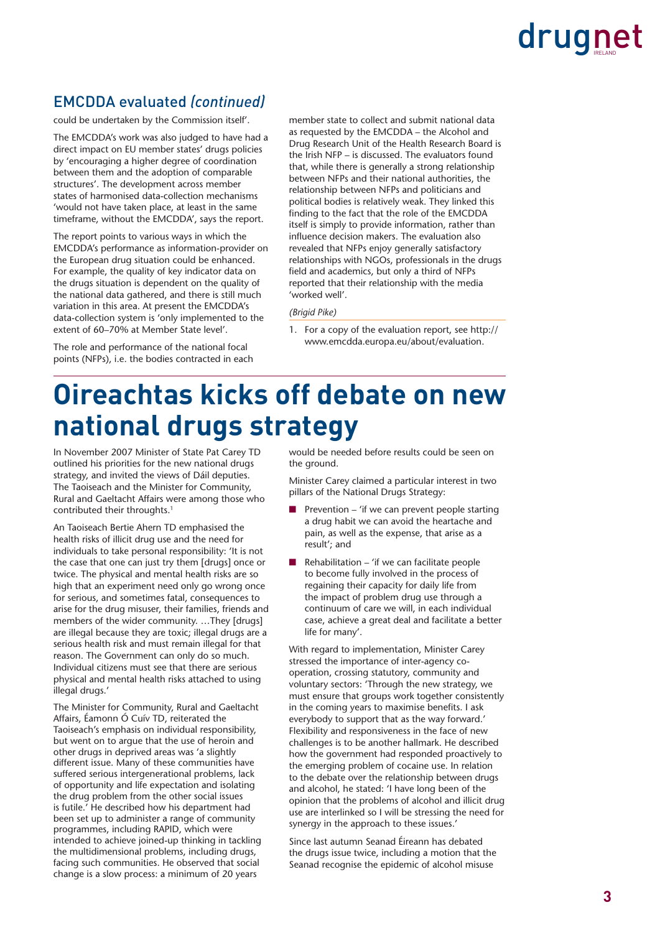#### EMCDDA evaluated *(continued)*

could be undertaken by the Commission itself'.

The EMCDDA's work was also judged to have had a direct impact on EU member states' drugs policies by 'encouraging a higher degree of coordination between them and the adoption of comparable structures'. The development across member states of harmonised data-collection mechanisms 'would not have taken place, at least in the same timeframe, without the EMCDDA', says the report.

The report points to various ways in which the EMCDDA's performance as information-provider on the European drug situation could be enhanced. For example, the quality of key indicator data on the drugs situation is dependent on the quality of the national data gathered, and there is still much variation in this area. At present the EMCDDA's data-collection system is 'only implemented to the extent of 60–70% at Member State level'.

The role and performance of the national focal points (NFPs), i.e. the bodies contracted in each member state to collect and submit national data as requested by the EMCDDA – the Alcohol and Drug Research Unit of the Health Research Board is the Irish NFP – is discussed. The evaluators found that, while there is generally a strong relationship between NFPs and their national authorities, the relationship between NFPs and politicians and political bodies is relatively weak. They linked this finding to the fact that the role of the EMCDDA itself is simply to provide information, rather than influence decision makers. The evaluation also revealed that NFPs enjoy generally satisfactory relationships with NGOs, professionals in the drugs field and academics, but only a third of NFPs reported that their relationship with the media 'worked well'.

#### *(Brigid Pike)*

1. For a copy of the evaluation report, see http:// www.emcdda.europa.eu/about/evaluation.

### **Oireachtas kicks off debate on new national drugs strategy**

In November 2007 Minister of State Pat Carey TD outlined his priorities for the new national drugs strategy, and invited the views of Dáil deputies. The Taoiseach and the Minister for Community, Rural and Gaeltacht Affairs were among those who contributed their throughts.<sup>1</sup>

An Taoiseach Bertie Ahern TD emphasised the health risks of illicit drug use and the need for individuals to take personal responsibility: 'It is not the case that one can just try them [drugs] once or twice. The physical and mental health risks are so high that an experiment need only go wrong once for serious, and sometimes fatal, consequences to arise for the drug misuser, their families, friends and members of the wider community. …They [drugs] are illegal because they are toxic; illegal drugs are a serious health risk and must remain illegal for that reason. The Government can only do so much. Individual citizens must see that there are serious physical and mental health risks attached to using illegal drugs.'

The Minister for Community, Rural and Gaeltacht Affairs, Éamonn Ó Cuív TD, reiterated the Taoiseach's emphasis on individual responsibility, but went on to argue that the use of heroin and other drugs in deprived areas was 'a slightly different issue. Many of these communities have suffered serious intergenerational problems, lack of opportunity and life expectation and isolating the drug problem from the other social issues is futile.' He described how his department had been set up to administer a range of community programmes, including RAPID, which were intended to achieve joined-up thinking in tackling the multidimensional problems, including drugs, facing such communities. He observed that social change is a slow process: a minimum of 20 years

would be needed before results could be seen on the ground.

Minister Carey claimed a particular interest in two pillars of the National Drugs Strategy:

- Prevention 'if we can prevent people starting a drug habit we can avoid the heartache and pain, as well as the expense, that arise as a result'; and
- $Rehabilitation 'if we can facilitate people$ to become fully involved in the process of regaining their capacity for daily life from the impact of problem drug use through a continuum of care we will, in each individual case, achieve a great deal and facilitate a better life for many'.

With regard to implementation, Minister Carey stressed the importance of inter-agency cooperation, crossing statutory, community and voluntary sectors: 'Through the new strategy, we must ensure that groups work together consistently in the coming years to maximise benefits. I ask everybody to support that as the way forward.' Flexibility and responsiveness in the face of new challenges is to be another hallmark. He described how the government had responded proactively to the emerging problem of cocaine use. In relation to the debate over the relationship between drugs and alcohol, he stated: 'I have long been of the opinion that the problems of alcohol and illicit drug use are interlinked so I will be stressing the need for synergy in the approach to these issues.'

Since last autumn Seanad Éireann has debated the drugs issue twice, including a motion that the Seanad recognise the epidemic of alcohol misuse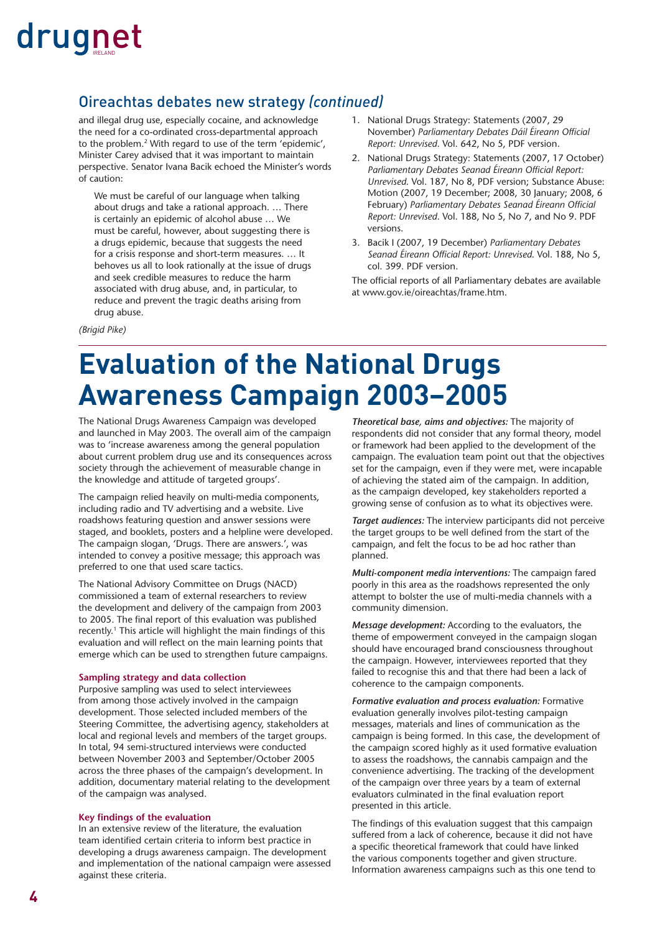#### Oireachtas debates new strategy *(continued)*

and illegal drug use, especially cocaine, and acknowledge the need for a co-ordinated cross-departmental approach to the problem.2 With regard to use of the term 'epidemic', Minister Carey advised that it was important to maintain perspective. Senator Ivana Bacik echoed the Minister's words of caution:

We must be careful of our language when talking about drugs and take a rational approach. … There is certainly an epidemic of alcohol abuse … We must be careful, however, about suggesting there is a drugs epidemic, because that suggests the need for a crisis response and short-term measures. … It behoves us all to look rationally at the issue of drugs and seek credible measures to reduce the harm associated with drug abuse, and, in particular, to reduce and prevent the tragic deaths arising from drug abuse.

- 1. National Drugs Strategy: Statements (2007, 29 November) Parliamentary Debates Dáil Éireann Official *Report: Unrevised*. Vol. 642, No 5, PDF version.
- 2. National Drugs Strategy: Statements (2007, 17 October) Parliamentary Debates Seanad Éireann Official Report: *Unrevised*. Vol. 187, No 8, PDF version; Substance Abuse: Motion (2007, 19 December; 2008, 30 January; 2008, 6 February) Parliamentary Debates Seanad Éireann Official *Report: Unrevised*. Vol. 188, No 5, No 7, and No 9. PDF versions.
- 3. Bacik I (2007, 19 December) *Parliamentary Debates*  Seanad Éireann Official Report: Unrevised. Vol. 188, No 5, col. 399. PDF version.

The official reports of all Parliamentary debates are available at www.gov.ie/oireachtas/frame.htm.

*(Brigid Pike)*

### **Evaluation of the National Drugs Awareness Campaign 2003–2005**

The National Drugs Awareness Campaign was developed and launched in May 2003. The overall aim of the campaign was to 'increase awareness among the general population about current problem drug use and its consequences across society through the achievement of measurable change in the knowledge and attitude of targeted groups'.

The campaign relied heavily on multi-media components, including radio and TV advertising and a website. Live roadshows featuring question and answer sessions were staged, and booklets, posters and a helpline were developed. The campaign slogan, 'Drugs. There are answers.', was intended to convey a positive message; this approach was preferred to one that used scare tactics.

The National Advisory Committee on Drugs (NACD) commissioned a team of external researchers to review the development and delivery of the campaign from 2003 to 2005. The final report of this evaluation was published recently.<sup>1</sup> This article will highlight the main findings of this evaluation and will reflect on the main learning points that emerge which can be used to strengthen future campaigns.

#### **Sampling strategy and data collection**

Purposive sampling was used to select interviewees from among those actively involved in the campaign development. Those selected included members of the Steering Committee, the advertising agency, stakeholders at local and regional levels and members of the target groups. In total, 94 semi-structured interviews were conducted between November 2003 and September/October 2005 across the three phases of the campaign's development. In addition, documentary material relating to the development of the campaign was analysed.

#### **Key findings of the evaluation**

In an extensive review of the literature, the evaluation team identified certain criteria to inform best practice in developing a drugs awareness campaign. The development and implementation of the national campaign were assessed against these criteria.

*Theoretical base, aims and objectives:* The majority of respondents did not consider that any formal theory, model or framework had been applied to the development of the campaign. The evaluation team point out that the objectives set for the campaign, even if they were met, were incapable of achieving the stated aim of the campaign. In addition, as the campaign developed, key stakeholders reported a growing sense of confusion as to what its objectives were.

*Target audiences:* The interview participants did not perceive the target groups to be well defined from the start of the campaign, and felt the focus to be ad hoc rather than planned.

*Multi-component media interventions:* The campaign fared poorly in this area as the roadshows represented the only attempt to bolster the use of multi-media channels with a community dimension.

*Message development:* According to the evaluators, the theme of empowerment conveyed in the campaign slogan should have encouraged brand consciousness throughout the campaign. However, interviewees reported that they failed to recognise this and that there had been a lack of coherence to the campaign components.

*Formative evaluation and process evaluation:* Formative evaluation generally involves pilot-testing campaign messages, materials and lines of communication as the campaign is being formed. In this case, the development of the campaign scored highly as it used formative evaluation to assess the roadshows, the cannabis campaign and the convenience advertising. The tracking of the development of the campaign over three years by a team of external evaluators culminated in the final evaluation report presented in this article.

The findings of this evaluation suggest that this campaign suffered from a lack of coherence, because it did not have a specific theoretical framework that could have linked the various components together and given structure. Information awareness campaigns such as this one tend to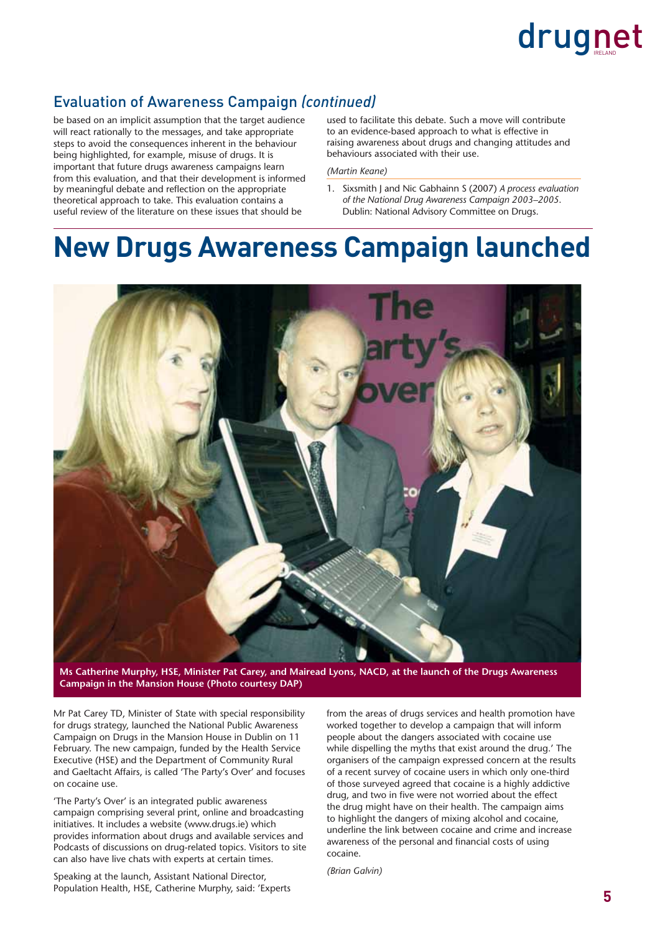#### Evaluation of Awareness Campaign *(continued)*

be based on an implicit assumption that the target audience will react rationally to the messages, and take appropriate steps to avoid the consequences inherent in the behaviour being highlighted, for example, misuse of drugs. It is important that future drugs awareness campaigns learn from this evaluation, and that their development is informed by meaningful debate and reflection on the appropriate theoretical approach to take. This evaluation contains a useful review of the literature on these issues that should be

used to facilitate this debate. Such a move will contribute to an evidence-based approach to what is effective in raising awareness about drugs and changing attitudes and behaviours associated with their use.

#### *(Martin Keane)*

1. Sixsmith J and Nic Gabhainn S (2007) *A process evaluation of the National Drug Awareness Campaign 2003–2005*. Dublin: National Advisory Committee on Drugs.

### **New Drugs Awareness Campaign launched**



**Ms Catherine Murphy, HSE, Minister Pat Carey, and Mairead Lyons, NACD, at the launch of the Drugs Awareness Campaign in the Mansion House (Photo courtesy DAP)**

Mr Pat Carey TD, Minister of State with special responsibility for drugs strategy, launched the National Public Awareness Campaign on Drugs in the Mansion House in Dublin on 11 February. The new campaign, funded by the Health Service Executive (HSE) and the Department of Community Rural and Gaeltacht Affairs, is called 'The Party's Over' and focuses on cocaine use.

'The Party's Over' is an integrated public awareness campaign comprising several print, online and broadcasting initiatives. It includes a website (www.drugs.ie) which provides information about drugs and available services and Podcasts of discussions on drug-related topics. Visitors to site can also have live chats with experts at certain times.

Speaking at the launch, Assistant National Director, Population Health, HSE, Catherine Murphy, said: 'Experts from the areas of drugs services and health promotion have worked together to develop a campaign that will inform people about the dangers associated with cocaine use while dispelling the myths that exist around the drug.' The organisers of the campaign expressed concern at the results of a recent survey of cocaine users in which only one-third of those surveyed agreed that cocaine is a highly addictive drug, and two in five were not worried about the effect the drug might have on their health. The campaign aims to highlight the dangers of mixing alcohol and cocaine, underline the link between cocaine and crime and increase awareness of the personal and financial costs of using cocaine.

*(Brian Galvin)*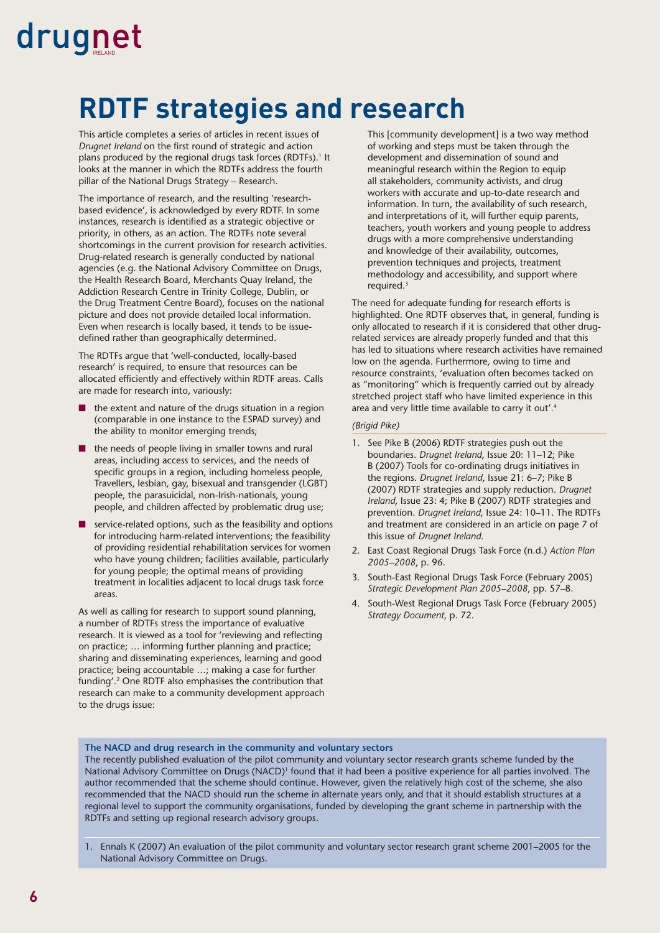# **RDTF strategies and research**

This article completes a series of articles in recent issues of *Drugnet Ireland* on the first round of strategic and action plans produced by the regional drugs task forces (RDTFs).<sup>1</sup> It looks at the manner in which the RDTFs address the fourth pillar of the National Drugs Strategy – Research.

The importance of research, and the resulting 'researchbased evidence', is acknowledged by every RDTF. In some instances, research is identified as a strategic objective or priority, in others, as an action. The RDTFs note several shortcomings in the current provision for research activities. Drug-related research is generally conducted by national agencies (e.g. the National Advisory Committee on Drugs, the Health Research Board, Merchants Quay Ireland, the Addiction Research Centre in Trinity College, Dublin, or the Drug Treatment Centre Board), focuses on the national picture and does not provide detailed local information. Even when research is locally based, it tends to be issuedefined rather than geographically determined.

The RDTFs argue that 'well-conducted, locally-based research' is required, to ensure that resources can be allocated efficiently and effectively within RDTF areas. Calls are made for research into, variously:

- the extent and nature of the drugs situation in a region (comparable in one instance to the ESPAD survey) and the ability to monitor emerging trends;
- the needs of people living in smaller towns and rural areas, including access to services, and the needs of specific groups in a region, including homeless people, Travellers, lesbian, gay, bisexual and transgender (LGBT) people, the parasuicidal, non-Irish-nationals, young people, and children affected by problematic drug use;
- service-related options, such as the feasibility and options for introducing harm-related interventions; the feasibility of providing residential rehabilitation services for women who have young children; facilities available, particularly for young people; the optimal means of providing treatment in localities adjacent to local drugs task force areas.

As well as calling for research to support sound planning, a number of RDTFs stress the importance of evaluative research. It is viewed as a tool for 'reviewing and reflecting on practice; … informing further planning and practice; sharing and disseminating experiences, learning and good practice; being accountable …; making a case for further funding'.2 One RDTF also emphasises the contribution that research can make to a community development approach to the drugs issue:

This [community development] is a two way method of working and steps must be taken through the development and dissemination of sound and meaningful research within the Region to equip all stakeholders, community activists, and drug workers with accurate and up-to-date research and information. In turn, the availability of such research, and interpretations of it, will further equip parents, teachers, youth workers and young people to address drugs with a more comprehensive understanding and knowledge of their availability, outcomes, prevention techniques and projects, treatment methodology and accessibility, and support where required.3

The need for adequate funding for research efforts is highlighted. One RDTF observes that, in general, funding is only allocated to research if it is considered that other drugrelated services are already properly funded and that this has led to situations where research activities have remained low on the agenda. Furthermore, owing to time and resource constraints, 'evaluation often becomes tacked on as "monitoring" which is frequently carried out by already stretched project staff who have limited experience in this area and very little time available to carry it out'.4

#### *(Brigid Pike)*

- 1. See Pike B (2006) RDTF strategies push out the boundaries. *Drugnet Ireland*, Issue 20: 11–12; Pike B (2007) Tools for co-ordinating drugs initiatives in the regions. *Drugnet Ireland*, Issue 21: 6–7; Pike B (2007) RDTF strategies and supply reduction. *Drugnet Ireland*, Issue 23: 4; Pike B (2007) RDTF strategies and prevention. *Drugnet Ireland*, Issue 24: 10–11. The RDTFs and treatment are considered in an article on page 7 of this issue of *Drugnet Ireland*.
- 2. East Coast Regional Drugs Task Force (n.d.) *Action Plan 2005–2008*, p. 96.
- 3. South-East Regional Drugs Task Force (February 2005) *Strategic Development Plan 2005–2008*, pp. 57–8.
- 4. South-West Regional Drugs Task Force (February 2005) *Strategy Document*, p. 72.

#### **The NACD and drug research in the community and voluntary sectors**

The recently published evaluation of the pilot community and voluntary sector research grants scheme funded by the National Advisory Committee on Drugs (NACD)1 found that it had been a positive experience for all parties involved. The author recommended that the scheme should continue. However, given the relatively high cost of the scheme, she also recommended that the NACD should run the scheme in alternate years only, and that it should establish structures at a regional level to support the community organisations, funded by developing the grant scheme in partnership with the RDTFs and setting up regional research advisory groups.

1. Ennals K (2007) An evaluation of the pilot community and voluntary sector research grant scheme 2001–2005 for the National Advisory Committee on Drugs.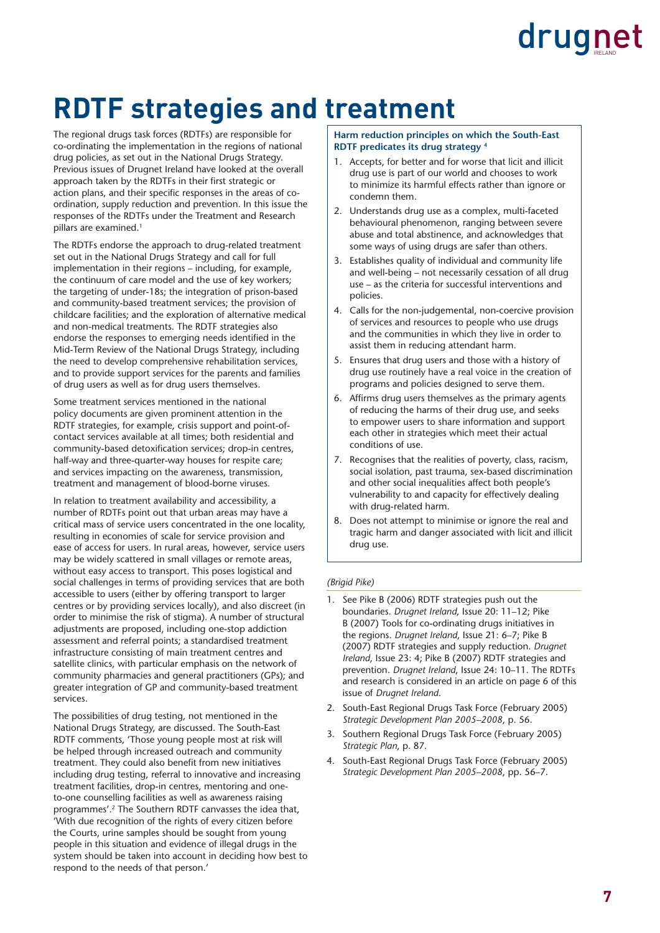### **RDTF strategies and treatment**

The regional drugs task forces (RDTFs) are responsible for co-ordinating the implementation in the regions of national drug policies, as set out in the National Drugs Strategy. Previous issues of Drugnet Ireland have looked at the overall approach taken by the RDTFs in their first strategic or action plans, and their specific responses in the areas of coordination, supply reduction and prevention. In this issue the responses of the RDTFs under the Treatment and Research pillars are examined.<sup>1</sup>

The RDTFs endorse the approach to drug-related treatment set out in the National Drugs Strategy and call for full implementation in their regions – including, for example, the continuum of care model and the use of key workers; the targeting of under-18s; the integration of prison-based and community-based treatment services; the provision of childcare facilities; and the exploration of alternative medical and non-medical treatments. The RDTF strategies also endorse the responses to emerging needs identified in the Mid-Term Review of the National Drugs Strategy, including the need to develop comprehensive rehabilitation services, and to provide support services for the parents and families of drug users as well as for drug users themselves.

Some treatment services mentioned in the national policy documents are given prominent attention in the RDTF strategies, for example, crisis support and point-ofcontact services available at all times; both residential and community-based detoxification services; drop-in centres, half-way and three-quarter-way houses for respite care; and services impacting on the awareness, transmission, treatment and management of blood-borne viruses.

In relation to treatment availability and accessibility, a number of RDTFs point out that urban areas may have a critical mass of service users concentrated in the one locality, resulting in economies of scale for service provision and ease of access for users. In rural areas, however, service users may be widely scattered in small villages or remote areas, without easy access to transport. This poses logistical and social challenges in terms of providing services that are both accessible to users (either by offering transport to larger centres or by providing services locally), and also discreet (in order to minimise the risk of stigma). A number of structural adjustments are proposed, including one-stop addiction assessment and referral points; a standardised treatment infrastructure consisting of main treatment centres and satellite clinics, with particular emphasis on the network of community pharmacies and general practitioners (GPs); and greater integration of GP and community-based treatment services.

The possibilities of drug testing, not mentioned in the National Drugs Strategy, are discussed. The South-East RDTF comments, 'Those young people most at risk will be helped through increased outreach and community treatment. They could also benefit from new initiatives including drug testing, referral to innovative and increasing treatment facilities, drop-in centres, mentoring and oneto-one counselling facilities as well as awareness raising programmes'.2 The Southern RDTF canvasses the idea that, 'With due recognition of the rights of every citizen before the Courts, urine samples should be sought from young people in this situation and evidence of illegal drugs in the system should be taken into account in deciding how best to respond to the needs of that person.'

#### **Harm reduction principles on which the South-East RDTF predicates its drug strategy 4**

- 1. Accepts, for better and for worse that licit and illicit drug use is part of our world and chooses to work to minimize its harmful effects rather than ignore or condemn them.
- 2. Understands drug use as a complex, multi-faceted behavioural phenomenon, ranging between severe abuse and total abstinence, and acknowledges that some ways of using drugs are safer than others.
- 3. Establishes quality of individual and community life and well-being – not necessarily cessation of all drug use – as the criteria for successful interventions and policies.
- 4. Calls for the non-judgemental, non-coercive provision of services and resources to people who use drugs and the communities in which they live in order to assist them in reducing attendant harm.
- 5. Ensures that drug users and those with a history of drug use routinely have a real voice in the creation of programs and policies designed to serve them.
- 6. Affirms drug users themselves as the primary agents of reducing the harms of their drug use, and seeks to empower users to share information and support each other in strategies which meet their actual conditions of use.
- 7. Recognises that the realities of poverty, class, racism, social isolation, past trauma, sex-based discrimination and other social inequalities affect both people's vulnerability to and capacity for effectively dealing with drug-related harm.
- 8. Does not attempt to minimise or ignore the real and tragic harm and danger associated with licit and illicit drug use.

#### *(Brigid Pike)*

- 1. See Pike B (2006) RDTF strategies push out the boundaries. *Drugnet Ireland*, Issue 20: 11–12; Pike B (2007) Tools for co-ordinating drugs initiatives in the regions. *Drugnet Ireland*, Issue 21: 6–7; Pike B (2007) RDTF strategies and supply reduction. *Drugnet Ireland*, Issue 23: 4; Pike B (2007) RDTF strategies and prevention. *Drugnet Ireland*, Issue 24: 10–11. The RDTFs and research is considered in an article on page 6 of this issue of *Drugnet Ireland*.
- 2. South-East Regional Drugs Task Force (February 2005) *Strategic Development Plan 2005–2008*, p. 56.
- 3. Southern Regional Drugs Task Force (February 2005) *Strategic Plan*, p. 87.
- 4. South-East Regional Drugs Task Force (February 2005) *Strategic Development Plan 2005–2008*, pp. 56–7.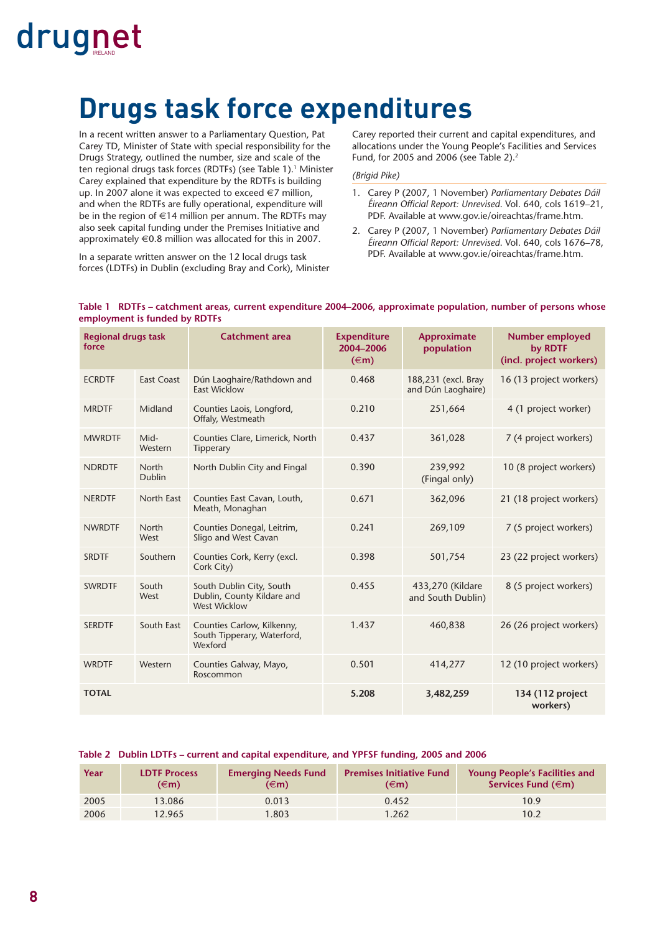### **Drugs task force expenditures**

In a recent written answer to a Parliamentary Question, Pat Carey TD, Minister of State with special responsibility for the Drugs Strategy, outlined the number, size and scale of the ten regional drugs task forces (RDTFs) (see Table 1).<sup>1</sup> Minister Carey explained that expenditure by the RDTFs is building up. In 2007 alone it was expected to exceed €7 million, and when the RDTFs are fully operational, expenditure will be in the region of €14 million per annum. The RDTFs may also seek capital funding under the Premises Initiative and approximately  $\in 0.8$  million was allocated for this in 2007.

Carey reported their current and capital expenditures, and allocations under the Young People's Facilities and Services Fund, for 2005 and 2006 (see Table 2).2

#### *(Brigid Pike)*

- 1. Carey P (2007, 1 November) *Parliamentary Debates Dáil Éireann Offi cial Report: Unrevised*. Vol. 640, cols 1619–21, PDF. Available at www.gov.ie/oireachtas/frame.htm.
- 2. Carey P (2007, 1 November) *Parliamentary Debates Dáil*  Éireann Official Report: Unrevised. Vol. 640, cols 1676–78, PDF. Available at www.gov.ie/oireachtas/frame.htm.

In a separate written answer on the 12 local drugs task forces (LDTFs) in Dublin (excluding Bray and Cork), Minister

#### **Table 1 RDTFs – catchment areas, current expenditure 2004–2006, approximate population, number of persons whose employment is funded by RDTFs**

| <b>Regional drugs task</b><br>force |                        | <b>Catchment area</b>                                                         | <b>Expenditure</b><br>2004-2006<br>$(\infty)$ | Approximate<br>population                 | Number employed<br>by RDTF<br>(incl. project workers) |
|-------------------------------------|------------------------|-------------------------------------------------------------------------------|-----------------------------------------------|-------------------------------------------|-------------------------------------------------------|
| <b>ECRDTF</b>                       | <b>East Coast</b>      | Dún Laoghaire/Rathdown and<br><b>East Wicklow</b>                             | 0.468                                         | 188,231 (excl. Bray<br>and Dún Laoghaire) | 16 (13 project workers)                               |
| <b>MRDTF</b>                        | Midland                | Counties Laois, Longford,<br>Offaly, Westmeath                                | 0.210                                         | 251,664                                   | 4 (1 project worker)                                  |
| <b>MWRDTF</b>                       | Mid-<br>Western        | Counties Clare, Limerick, North<br>Tipperary                                  | 0.437                                         | 361,028                                   | 7 (4 project workers)                                 |
| <b>NDRDTF</b>                       | North<br><b>Dublin</b> | North Dublin City and Fingal                                                  | 0.390                                         | 239,992<br>(Fingal only)                  | 10 (8 project workers)                                |
| <b>NERDTF</b>                       | North East             | Counties East Cavan, Louth,<br>Meath, Monaghan                                | 0.671                                         | 362,096                                   | 21 (18 project workers)                               |
| <b>NWRDTF</b>                       | North<br>West          | Counties Donegal, Leitrim,<br>Sligo and West Cavan                            | 0.241                                         | 269,109                                   | 7 (5 project workers)                                 |
| <b>SRDTF</b>                        | Southern               | Counties Cork, Kerry (excl.<br>Cork City)                                     | 0.398                                         | 501,754                                   | 23 (22 project workers)                               |
| <b>SWRDTF</b>                       | South<br>West          | South Dublin City, South<br>Dublin, County Kildare and<br><b>West Wicklow</b> | 0.455                                         | 433,270 (Kildare<br>and South Dublin)     | 8 (5 project workers)                                 |
| <b>SERDTF</b>                       | South East             | Counties Carlow, Kilkenny,<br>South Tipperary, Waterford,<br>Wexford          | 1.437                                         | 460,838                                   | 26 (26 project workers)                               |
| <b>WRDTF</b>                        | Western                | Counties Galway, Mayo,<br>Roscommon                                           | 0.501                                         | 414,277                                   | 12 (10 project workers)                               |
| <b>TOTAL</b>                        |                        |                                                                               | 5.208                                         | 3,482,259                                 | 134 (112 project<br>workers)                          |

#### **Table 2 Dublin LDTFs – current and capital expenditure, and YPFSF funding, 2005 and 2006**

| Year | <b>LDTF Process</b><br>$(\infty)$ | <b>Emerging Needs Fund</b><br>$(\infty)$ | <b>Premises Initiative Fund</b><br>$(\infty)$ | <b>Young People's Facilities and</b><br>Services Fund $(\in$ m) |
|------|-----------------------------------|------------------------------------------|-----------------------------------------------|-----------------------------------------------------------------|
| 2005 | 13.086                            | 0.013                                    | 0.452                                         | 10.9                                                            |
| 2006 | 12.965                            | .803                                     | 1.262                                         | 10.2                                                            |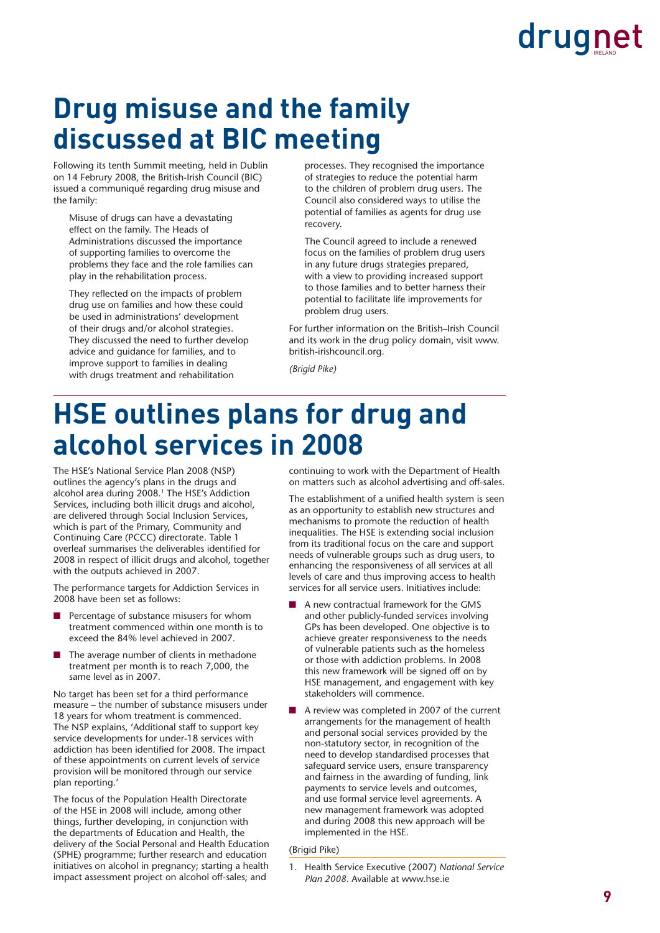### **Drug misuse and the family discussed at BIC meeting**

Following its tenth Summit meeting, held in Dublin on 14 Februry 2008, the British-Irish Council (BIC) issued a communiqué regarding drug misuse and the family:

Misuse of drugs can have a devastating effect on the family. The Heads of Administrations discussed the importance of supporting families to overcome the problems they face and the role families can play in the rehabilitation process.

They reflected on the impacts of problem drug use on families and how these could be used in administrations' development of their drugs and/or alcohol strategies. They discussed the need to further develop advice and guidance for families, and to improve support to families in dealing with drugs treatment and rehabilitation

processes. They recognised the importance of strategies to reduce the potential harm to the children of problem drug users. The Council also considered ways to utilise the potential of families as agents for drug use recovery.

The Council agreed to include a renewed focus on the families of problem drug users in any future drugs strategies prepared, with a view to providing increased support to those families and to better harness their potential to facilitate life improvements for problem drug users.

For further information on the British–Irish Council and its work in the drug policy domain, visit www. british-irishcouncil.org.

*(Brigid Pike)*

### **HSE outlines plans for drug and alcohol services in 2008**

The HSE's National Service Plan 2008 (NSP) outlines the agency's plans in the drugs and alcohol area during 2008.<sup>1</sup> The HSE's Addiction Services, including both illicit drugs and alcohol, are delivered through Social Inclusion Services, which is part of the Primary, Community and Continuing Care (PCCC) directorate. Table 1 overleaf summarises the deliverables identified for 2008 in respect of illicit drugs and alcohol, together with the outputs achieved in 2007.

The performance targets for Addiction Services in 2008 have been set as follows:

- Percentage of substance misusers for whom treatment commenced within one month is to exceed the 84% level achieved in 2007.
- The average number of clients in methadone treatment per month is to reach 7,000, the same level as in 2007.

No target has been set for a third performance measure – the number of substance misusers under 18 years for whom treatment is commenced. The NSP explains, 'Additional staff to support key service developments for under-18 services with addiction has been identified for 2008. The impact of these appointments on current levels of service provision will be monitored through our service plan reporting.'

The focus of the Population Health Directorate of the HSE in 2008 will include, among other things, further developing, in conjunction with the departments of Education and Health, the delivery of the Social Personal and Health Education (SPHE) programme; further research and education initiatives on alcohol in pregnancy; starting a health impact assessment project on alcohol off-sales; and

continuing to work with the Department of Health on matters such as alcohol advertising and off-sales.

The establishment of a unified health system is seen as an opportunity to establish new structures and mechanisms to promote the reduction of health inequalities. The HSE is extending social inclusion from its traditional focus on the care and support needs of vulnerable groups such as drug users, to enhancing the responsiveness of all services at all levels of care and thus improving access to health services for all service users. Initiatives include:

- A new contractual framework for the GMS and other publicly-funded services involving GPs has been developed. One objective is to achieve greater responsiveness to the needs of vulnerable patients such as the homeless or those with addiction problems. In 2008 this new framework will be signed off on by HSE management, and engagement with key stakeholders will commence.
- A review was completed in 2007 of the current arrangements for the management of health and personal social services provided by the non-statutory sector, in recognition of the need to develop standardised processes that safeguard service users, ensure transparency and fairness in the awarding of funding, link payments to service levels and outcomes, and use formal service level agreements. A new management framework was adopted and during 2008 this new approach will be implemented in the HSE.

#### (Brigid Pike)

<sup>1.</sup> Health Service Executive (2007) *National Service Plan 2008*. Available at www.hse.ie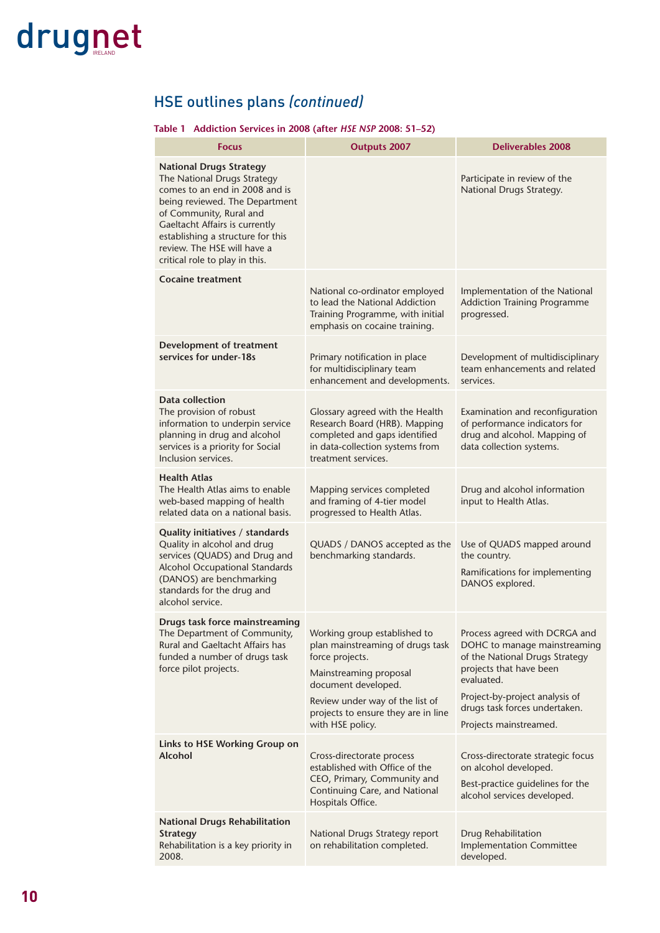### HSE outlines plans *(continued)*

#### **Table 1 Addiction Services in 2008 (after** *HSE NSP* **2008: 51–52)**

| <b>Focus</b>                                                                                                                                                                                                                                                                                         | <b>Outputs 2007</b>                                                                                                                                                                                                                | <b>Deliverables 2008</b>                                                                                                                                                                                                              |
|------------------------------------------------------------------------------------------------------------------------------------------------------------------------------------------------------------------------------------------------------------------------------------------------------|------------------------------------------------------------------------------------------------------------------------------------------------------------------------------------------------------------------------------------|---------------------------------------------------------------------------------------------------------------------------------------------------------------------------------------------------------------------------------------|
| <b>National Drugs Strategy</b><br>The National Drugs Strategy<br>comes to an end in 2008 and is<br>being reviewed. The Department<br>of Community, Rural and<br>Gaeltacht Affairs is currently<br>establishing a structure for this<br>review. The HSE will have a<br>critical role to play in this. |                                                                                                                                                                                                                                    | Participate in review of the<br>National Drugs Strategy.                                                                                                                                                                              |
| <b>Cocaine treatment</b>                                                                                                                                                                                                                                                                             | National co-ordinator employed<br>to lead the National Addiction<br>Training Programme, with initial<br>emphasis on cocaine training.                                                                                              | Implementation of the National<br><b>Addiction Training Programme</b><br>progressed.                                                                                                                                                  |
| <b>Development of treatment</b><br>services for under-18s                                                                                                                                                                                                                                            | Primary notification in place<br>for multidisciplinary team<br>enhancement and developments.                                                                                                                                       | Development of multidisciplinary<br>team enhancements and related<br>services.                                                                                                                                                        |
| <b>Data collection</b><br>The provision of robust<br>information to underpin service<br>planning in drug and alcohol<br>services is a priority for Social<br>Inclusion services.                                                                                                                     | Glossary agreed with the Health<br>Research Board (HRB). Mapping<br>completed and gaps identified<br>in data-collection systems from<br>treatment services.                                                                        | Examination and reconfiguration<br>of performance indicators for<br>drug and alcohol. Mapping of<br>data collection systems.                                                                                                          |
| <b>Health Atlas</b><br>The Health Atlas aims to enable<br>web-based mapping of health<br>related data on a national basis.                                                                                                                                                                           | Mapping services completed<br>and framing of 4-tier model<br>progressed to Health Atlas.                                                                                                                                           | Drug and alcohol information<br>input to Health Atlas.                                                                                                                                                                                |
| Quality initiatives / standards<br>Quality in alcohol and drug<br>services (QUADS) and Drug and<br>Alcohol Occupational Standards<br>(DANOS) are benchmarking<br>standards for the drug and<br>alcohol service.                                                                                      | QUADS / DANOS accepted as the<br>benchmarking standards.                                                                                                                                                                           | Use of QUADS mapped around<br>the country.<br>Ramifications for implementing<br>DANOS explored.                                                                                                                                       |
| Drugs task force mainstreaming<br>The Department of Community,<br>Rural and Gaeltacht Affairs has<br>funded a number of drugs task<br>force pilot projects.                                                                                                                                          | Working group established to<br>plan mainstreaming of drugs task<br>force projects.<br>Mainstreaming proposal<br>document developed.<br>Review under way of the list of<br>projects to ensure they are in line<br>with HSE policy. | Process agreed with DCRGA and<br>DOHC to manage mainstreaming<br>of the National Drugs Strategy<br>projects that have been<br>evaluated.<br>Project-by-project analysis of<br>drugs task forces undertaken.<br>Projects mainstreamed. |
| Links to HSE Working Group on<br>Alcohol                                                                                                                                                                                                                                                             | Cross-directorate process<br>established with Office of the<br>CEO, Primary, Community and<br>Continuing Care, and National<br>Hospitals Office.                                                                                   | Cross-directorate strategic focus<br>on alcohol developed.<br>Best-practice guidelines for the<br>alcohol services developed.                                                                                                         |
| <b>National Drugs Rehabilitation</b><br><b>Strategy</b><br>Rehabilitation is a key priority in<br>2008.                                                                                                                                                                                              | National Drugs Strategy report<br>on rehabilitation completed.                                                                                                                                                                     | Drug Rehabilitation<br><b>Implementation Committee</b><br>developed.                                                                                                                                                                  |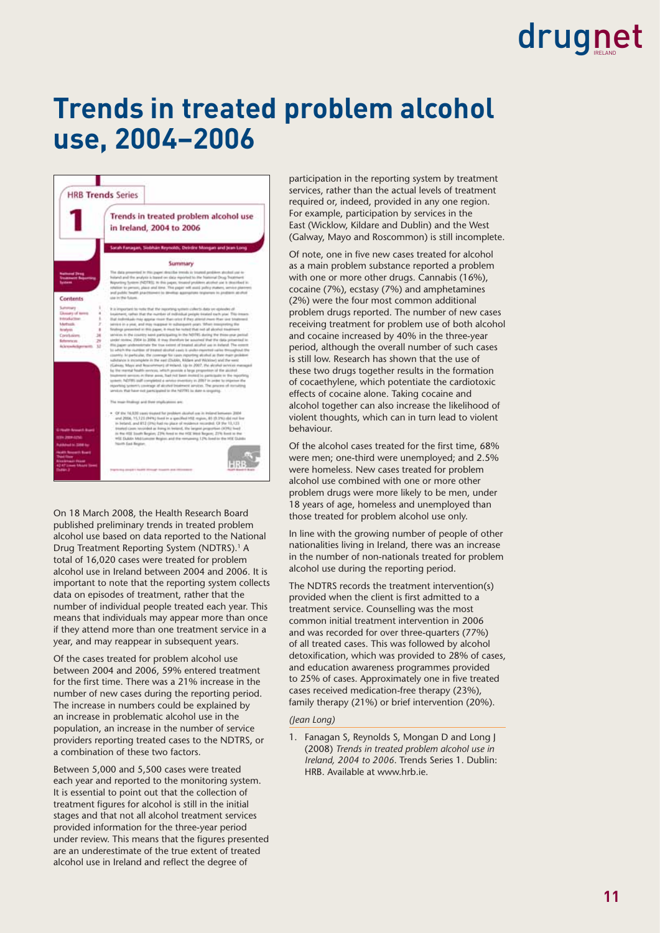### **Trends in treated problem alcohol use, 2004–2006**



On 18 March 2008, the Health Research Board published preliminary trends in treated problem alcohol use based on data reported to the National Drug Treatment Reporting System (NDTRS).<sup>1</sup> A total of 16,020 cases were treated for problem alcohol use in Ireland between 2004 and 2006. It is important to note that the reporting system collects data on episodes of treatment, rather that the number of individual people treated each year. This means that individuals may appear more than once if they attend more than one treatment service in a year, and may reappear in subsequent years.

Of the cases treated for problem alcohol use between 2004 and 2006, 59% entered treatment for the first time. There was a 21% increase in the number of new cases during the reporting period. The increase in numbers could be explained by an increase in problematic alcohol use in the population, an increase in the number of service providers reporting treated cases to the NDTRS, or a combination of these two factors.

Between 5,000 and 5,500 cases were treated each year and reported to the monitoring system. It is essential to point out that the collection of treatment figures for alcohol is still in the initial stages and that not all alcohol treatment services provided information for the three-year period under review. This means that the figures presented are an underestimate of the true extent of treated alcohol use in Ireland and reflect the degree of

participation in the reporting system by treatment services, rather than the actual levels of treatment required or, indeed, provided in any one region. For example, participation by services in the East (Wicklow, Kildare and Dublin) and the West (Galway, Mayo and Roscommon) is still incomplete.

Of note, one in five new cases treated for alcohol as a main problem substance reported a problem with one or more other drugs. Cannabis (16%), cocaine (7%), ecstasy (7%) and amphetamines (2%) were the four most common additional problem drugs reported. The number of new cases receiving treatment for problem use of both alcohol and cocaine increased by 40% in the three-year period, although the overall number of such cases is still low. Research has shown that the use of these two drugs together results in the formation of cocaethylene, which potentiate the cardiotoxic effects of cocaine alone. Taking cocaine and alcohol together can also increase the likelihood of violent thoughts, which can in turn lead to violent behaviour.

Of the alcohol cases treated for the first time, 68% were men; one-third were unemployed; and 2.5% were homeless. New cases treated for problem alcohol use combined with one or more other problem drugs were more likely to be men, under 18 years of age, homeless and unemployed than those treated for problem alcohol use only.

In line with the growing number of people of other nationalities living in Ireland, there was an increase in the number of non-nationals treated for problem alcohol use during the reporting period.

The NDTRS records the treatment intervention(s) provided when the client is first admitted to a treatment service. Counselling was the most common initial treatment intervention in 2006 and was recorded for over three-quarters (77%) of all treated cases. This was followed by alcohol detoxification, which was provided to 28% of cases, and education awareness programmes provided to 25% of cases. Approximately one in five treated cases received medication-free therapy (23%), family therapy (21%) or brief intervention (20%).

#### *(Jean Long)*

1. Fanagan S, Reynolds S, Mongan D and Long I (2008) *Trends in treated problem alcohol use in Ireland, 2004 to 2006*. Trends Series 1. Dublin: HRB. Available at www.hrb.ie.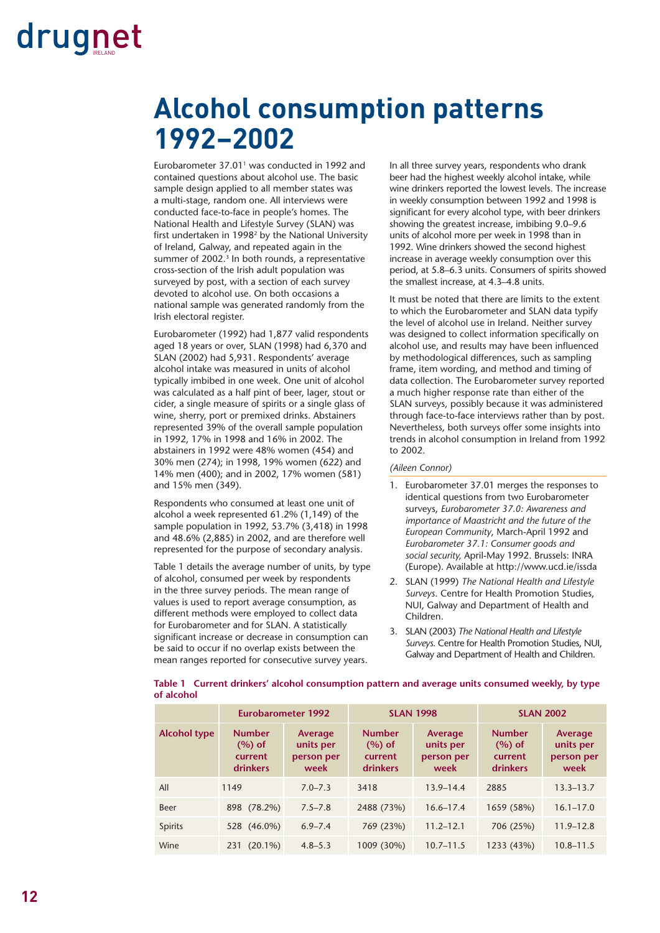### **Alcohol consumption patterns 1992–2002**

Eurobarometer 37.01<sup>1</sup> was conducted in 1992 and contained questions about alcohol use. The basic sample design applied to all member states was a multi-stage, random one. All interviews were conducted face-to-face in people's homes. The National Health and Lifestyle Survey (SLAN) was first undertaken in 1998<sup>2</sup> by the National University of Ireland, Galway, and repeated again in the summer of 2002.<sup>3</sup> In both rounds, a representative cross-section of the Irish adult population was surveyed by post, with a section of each survey devoted to alcohol use. On both occasions a national sample was generated randomly from the Irish electoral register.

Eurobarometer (1992) had 1,877 valid respondents aged 18 years or over, SLAN (1998) had 6,370 and SLAN (2002) had 5,931. Respondents' average alcohol intake was measured in units of alcohol typically imbibed in one week. One unit of alcohol was calculated as a half pint of beer, lager, stout or cider, a single measure of spirits or a single glass of wine, sherry, port or premixed drinks. Abstainers represented 39% of the overall sample population in 1992, 17% in 1998 and 16% in 2002. The abstainers in 1992 were 48% women (454) and 30% men (274); in 1998, 19% women (622) and 14% men (400); and in 2002, 17% women (581) and 15% men (349).

Respondents who consumed at least one unit of alcohol a week represented 61.2% (1,149) of the sample population in 1992, 53.7% (3,418) in 1998 and 48.6% (2,885) in 2002, and are therefore well represented for the purpose of secondary analysis.

Table 1 details the average number of units, by type of alcohol, consumed per week by respondents in the three survey periods. The mean range of values is used to report average consumption, as different methods were employed to collect data for Eurobarometer and for SLAN. A statistically significant increase or decrease in consumption can be said to occur if no overlap exists between the mean ranges reported for consecutive survey years.

In all three survey years, respondents who drank beer had the highest weekly alcohol intake, while wine drinkers reported the lowest levels. The increase in weekly consumption between 1992 and 1998 is significant for every alcohol type, with beer drinkers showing the greatest increase, imbibing 9.0–9.6 units of alcohol more per week in 1998 than in 1992. Wine drinkers showed the second highest increase in average weekly consumption over this period, at 5.8–6.3 units. Consumers of spirits showed the smallest increase, at 4.3–4.8 units.

It must be noted that there are limits to the extent to which the Eurobarometer and SLAN data typify the level of alcohol use in Ireland. Neither survey was designed to collect information specifically on alcohol use, and results may have been influenced by methodological differences, such as sampling frame, item wording, and method and timing of data collection. The Eurobarometer survey reported a much higher response rate than either of the SLAN surveys, possibly because it was administered through face-to-face interviews rather than by post. Nevertheless, both surveys offer some insights into trends in alcohol consumption in Ireland from 1992 to 2002.

#### *(Aileen Connor)*

- 1. Eurobarometer 37.01 merges the responses to identical questions from two Eurobarometer surveys, *Eurobarometer 37.0: Awareness and importance of Maastricht and the future of the European Community*, March-April 1992 and *Eurobarometer 37.1: Consumer goods and social security,* April-May 1992. Brussels: INRA (Europe). Available at http://www.ucd.ie/issda
- 2. SLAN (1999) *The National Health and Lifestyle Surveys*. Centre for Health Promotion Studies, NUI, Galway and Department of Health and Children.
- 3. SLAN (2003) *The National Health and Lifestyle Surveys*. Centre for Health Promotion Studies, NUI, Galway and Department of Health and Children.

**Eurobarometer 1992 SLAN 1998 SLAN 2002 Alcohol type Number (%) of current drinkers Average units per person per week Number (%) of current drinkers Average units per person per week Number (%) of current drinkers Average units per person per week** All 1149 7.0–7.3 3418 13.9–14.4 2885 13.3–13.7

Beer 898 (78.2%) 7.5–7.8 2488 (73%) 16.6–17.4 1659 (58%) 16.1–17.0 Spirits 528 (46.0%) 6.9–7.4 769 (23%) 11.2–12.1 706 (25%) 11.9–12.8 Wine 231 (20.1%) 4.8–5.3 1009 (30%) 10.7–11.5 1233 (43%) 10.8–11.5

**Table 1 Current drinkers' alcohol consumption pattern and average units consumed weekly, by type of alcohol**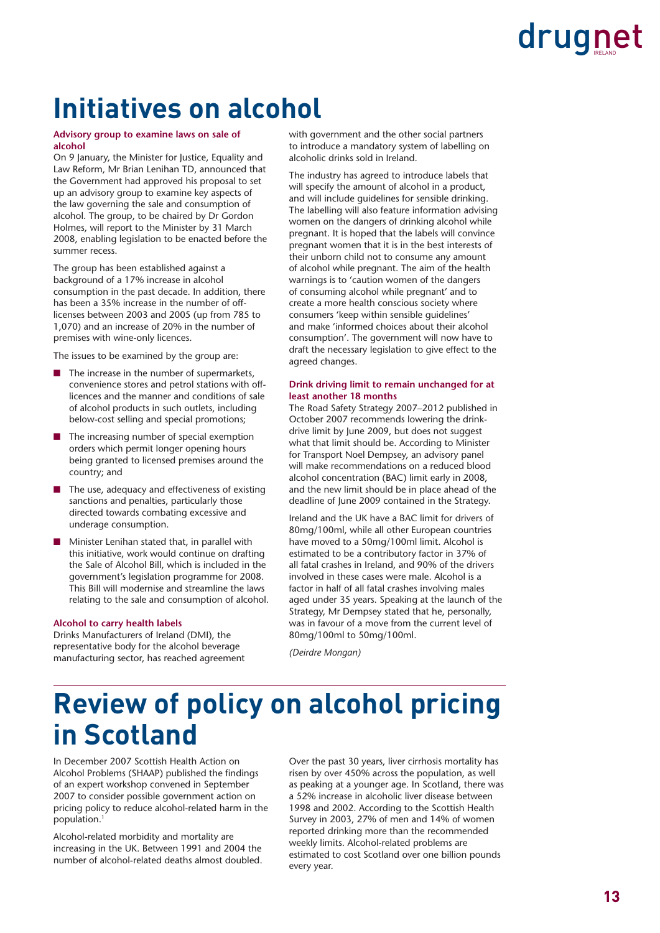### **Initiatives on alcohol**

#### **Advisory group to examine laws on sale of alcohol**

On 9 January, the Minister for Justice, Equality and Law Reform, Mr Brian Lenihan TD, announced that the Government had approved his proposal to set up an advisory group to examine key aspects of the law governing the sale and consumption of alcohol. The group, to be chaired by Dr Gordon Holmes, will report to the Minister by 31 March 2008, enabling legislation to be enacted before the summer recess.

The group has been established against a background of a 17% increase in alcohol consumption in the past decade. In addition, there has been a 35% increase in the number of offlicenses between 2003 and 2005 (up from 785 to 1,070) and an increase of 20% in the number of premises with wine-only licences.

The issues to be examined by the group are:

- The increase in the number of supermarkets, convenience stores and petrol stations with offlicences and the manner and conditions of sale of alcohol products in such outlets, including below-cost selling and special promotions;
- The increasing number of special exemption orders which permit longer opening hours being granted to licensed premises around the country; and
- The use, adequacy and effectiveness of existing sanctions and penalties, particularly those directed towards combating excessive and underage consumption.
- Minister Lenihan stated that, in parallel with this initiative, work would continue on drafting the Sale of Alcohol Bill, which is included in the government's legislation programme for 2008. This Bill will modernise and streamline the laws relating to the sale and consumption of alcohol.

#### **Alcohol to carry health labels**

Drinks Manufacturers of Ireland (DMI), the representative body for the alcohol beverage manufacturing sector, has reached agreement with government and the other social partners to introduce a mandatory system of labelling on alcoholic drinks sold in Ireland.

The industry has agreed to introduce labels that will specify the amount of alcohol in a product, and will include guidelines for sensible drinking. The labelling will also feature information advising women on the dangers of drinking alcohol while pregnant. It is hoped that the labels will convince pregnant women that it is in the best interests of their unborn child not to consume any amount of alcohol while pregnant. The aim of the health warnings is to 'caution women of the dangers of consuming alcohol while pregnant' and to create a more health conscious society where consumers 'keep within sensible guidelines' and make 'informed choices about their alcohol consumption'. The government will now have to draft the necessary legislation to give effect to the agreed changes.

#### **Drink driving limit to remain unchanged for at least another 18 months**

The Road Safety Strategy 2007–2012 published in October 2007 recommends lowering the drinkdrive limit by June 2009, but does not suggest what that limit should be. According to Minister for Transport Noel Dempsey, an advisory panel will make recommendations on a reduced blood alcohol concentration (BAC) limit early in 2008, and the new limit should be in place ahead of the deadline of June 2009 contained in the Strategy.

Ireland and the UK have a BAC limit for drivers of 80mg/100ml, while all other European countries have moved to a 50mg/100ml limit. Alcohol is estimated to be a contributory factor in 37% of all fatal crashes in Ireland, and 90% of the drivers involved in these cases were male. Alcohol is a factor in half of all fatal crashes involving males aged under 35 years. Speaking at the launch of the Strategy, Mr Dempsey stated that he, personally, was in favour of a move from the current level of 80mg/100ml to 50mg/100ml.

*(Deirdre Mongan)*

### **Review of policy on alcohol pricing in Scotland**

In December 2007 Scottish Health Action on Alcohol Problems (SHAAP) published the findings of an expert workshop convened in September 2007 to consider possible government action on pricing policy to reduce alcohol-related harm in the population.1

Alcohol-related morbidity and mortality are increasing in the UK. Between 1991 and 2004 the number of alcohol-related deaths almost doubled. Over the past 30 years, liver cirrhosis mortality has risen by over 450% across the population, as well as peaking at a younger age. In Scotland, there was a 52% increase in alcoholic liver disease between 1998 and 2002. According to the Scottish Health Survey in 2003, 27% of men and 14% of women reported drinking more than the recommended weekly limits. Alcohol-related problems are estimated to cost Scotland over one billion pounds every year.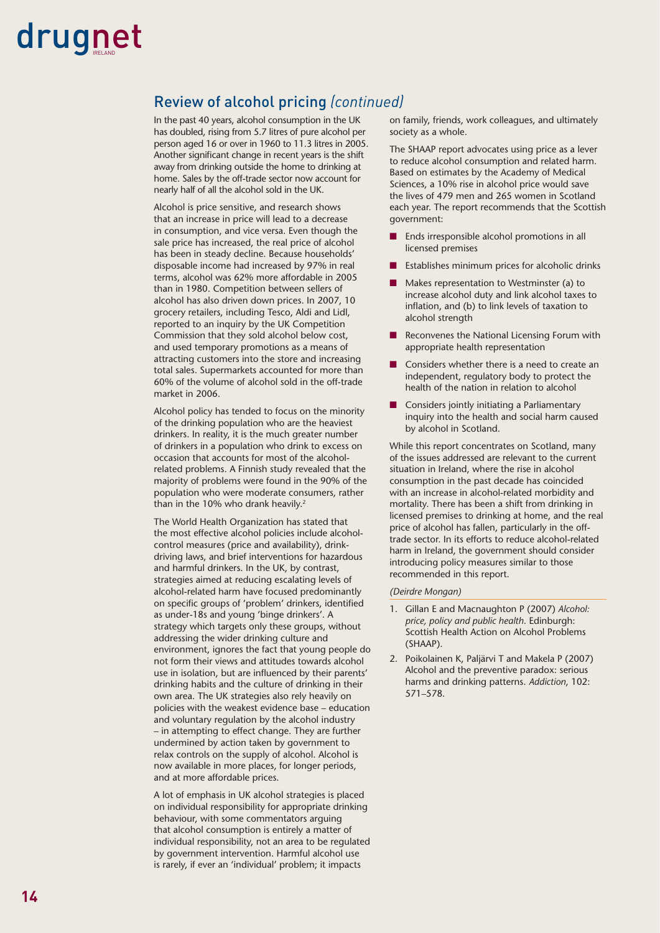#### Review of alcohol pricing *(continued)*

In the past 40 years, alcohol consumption in the UK has doubled, rising from 5.7 litres of pure alcohol per person aged 16 or over in 1960 to 11.3 litres in 2005. Another significant change in recent years is the shift away from drinking outside the home to drinking at home. Sales by the off-trade sector now account for nearly half of all the alcohol sold in the UK.

Alcohol is price sensitive, and research shows that an increase in price will lead to a decrease in consumption, and vice versa. Even though the sale price has increased, the real price of alcohol has been in steady decline. Because households' disposable income had increased by 97% in real terms, alcohol was 62% more affordable in 2005 than in 1980. Competition between sellers of alcohol has also driven down prices. In 2007, 10 grocery retailers, including Tesco, Aldi and Lidl, reported to an inquiry by the UK Competition Commission that they sold alcohol below cost, and used temporary promotions as a means of attracting customers into the store and increasing total sales. Supermarkets accounted for more than 60% of the volume of alcohol sold in the off-trade market in 2006.

Alcohol policy has tended to focus on the minority of the drinking population who are the heaviest drinkers. In reality, it is the much greater number of drinkers in a population who drink to excess on occasion that accounts for most of the alcoholrelated problems. A Finnish study revealed that the majority of problems were found in the 90% of the population who were moderate consumers, rather than in the 10% who drank heavily.<sup>2</sup>

The World Health Organization has stated that the most effective alcohol policies include alcoholcontrol measures (price and availability), drinkdriving laws, and brief interventions for hazardous and harmful drinkers. In the UK, by contrast, strategies aimed at reducing escalating levels of alcohol-related harm have focused predominantly on specific groups of 'problem' drinkers, identified as under-18s and young 'binge drinkers'. A strategy which targets only these groups, without addressing the wider drinking culture and environment, ignores the fact that young people do not form their views and attitudes towards alcohol use in isolation, but are influenced by their parents' drinking habits and the culture of drinking in their own area. The UK strategies also rely heavily on policies with the weakest evidence base – education and voluntary regulation by the alcohol industry – in attempting to effect change. They are further undermined by action taken by government to relax controls on the supply of alcohol. Alcohol is now available in more places, for longer periods, and at more affordable prices.

A lot of emphasis in UK alcohol strategies is placed on individual responsibility for appropriate drinking behaviour, with some commentators arguing that alcohol consumption is entirely a matter of individual responsibility, not an area to be regulated by government intervention. Harmful alcohol use is rarely, if ever an 'individual' problem; it impacts

on family, friends, work colleagues, and ultimately society as a whole.

The SHAAP report advocates using price as a lever to reduce alcohol consumption and related harm. Based on estimates by the Academy of Medical Sciences, a 10% rise in alcohol price would save the lives of 479 men and 265 women in Scotland each year. The report recommends that the Scottish government:

- Ends irresponsible alcohol promotions in all licensed premises
- Establishes minimum prices for alcoholic drinks
- Makes representation to Westminster (a) to increase alcohol duty and link alcohol taxes to inflation, and (b) to link levels of taxation to alcohol strength
- Reconvenes the National Licensing Forum with appropriate health representation
- Considers whether there is a need to create an independent, regulatory body to protect the health of the nation in relation to alcohol
- Considers jointly initiating a Parliamentary inquiry into the health and social harm caused by alcohol in Scotland.

While this report concentrates on Scotland, many of the issues addressed are relevant to the current situation in Ireland, where the rise in alcohol consumption in the past decade has coincided with an increase in alcohol-related morbidity and mortality. There has been a shift from drinking in licensed premises to drinking at home, and the real price of alcohol has fallen, particularly in the offtrade sector. In its efforts to reduce alcohol-related harm in Ireland, the government should consider introducing policy measures similar to those recommended in this report.

#### *(Deirdre Mongan)*

- 1. Gillan E and Macnaughton P (2007) *Alcohol: price, policy and public health*. Edinburgh: Scottish Health Action on Alcohol Problems (SHAAP).
- 2. Poikolainen K, Paljärvi T and Makela P (2007) Alcohol and the preventive paradox: serious harms and drinking patterns. *Addiction*, 102: 571–578.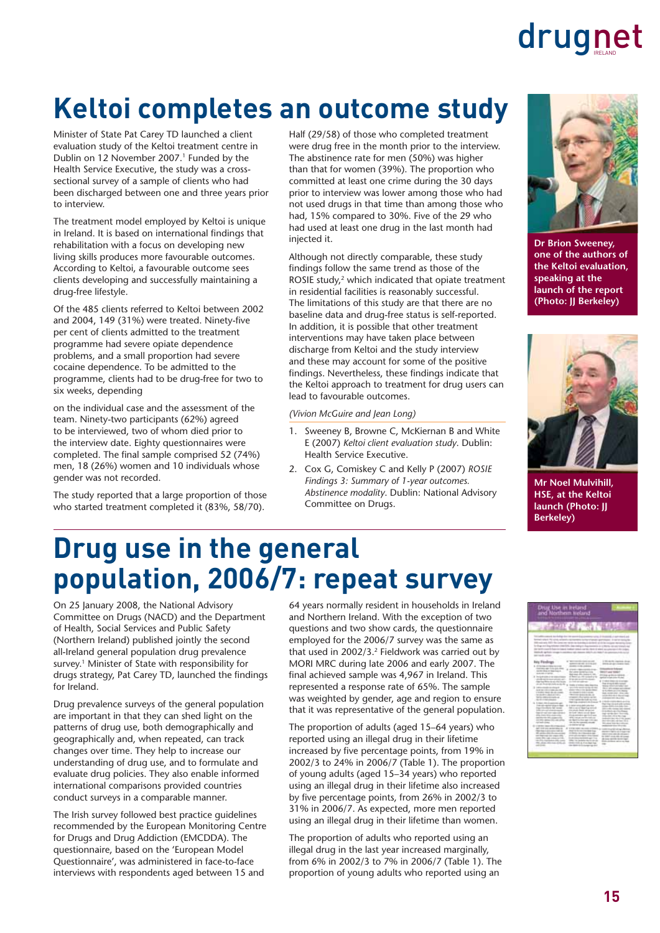# **Keltoi completes an outcome study**

Minister of State Pat Carey TD launched a client evaluation study of the Keltoi treatment centre in Dublin on 12 November 2007.<sup>1</sup> Funded by the Health Service Executive, the study was a crosssectional survey of a sample of clients who had been discharged between one and three years prior to interview.

The treatment model employed by Keltoi is unique in Ireland. It is based on international findings that rehabilitation with a focus on developing new living skills produces more favourable outcomes. According to Keltoi, a favourable outcome sees clients developing and successfully maintaining a drug-free lifestyle.

Of the 485 clients referred to Keltoi between 2002 and 2004, 149 (31%) were treated. Ninety-five per cent of clients admitted to the treatment programme had severe opiate dependence problems, and a small proportion had severe cocaine dependence. To be admitted to the programme, clients had to be drug-free for two to six weeks, depending

on the individual case and the assessment of the team. Ninety-two participants (62%) agreed to be interviewed, two of whom died prior to the interview date. Eighty questionnaires were completed. The final sample comprised 52 (74%) men, 18 (26%) women and 10 individuals whose gender was not recorded.

The study reported that a large proportion of those who started treatment completed it (83%, 58/70).

Half (29/58) of those who completed treatment were drug free in the month prior to the interview. The abstinence rate for men (50%) was higher than that for women (39%). The proportion who committed at least one crime during the 30 days prior to interview was lower among those who had not used drugs in that time than among those who had, 15% compared to 30%. Five of the 29 who had used at least one drug in the last month had injected it.

Although not directly comparable, these study findings follow the same trend as those of the ROSIE study,<sup>2</sup> which indicated that opiate treatment in residential facilities is reasonably successful. The limitations of this study are that there are no baseline data and drug-free status is self-reported. In addition, it is possible that other treatment interventions may have taken place between discharge from Keltoi and the study interview and these may account for some of the positive findings. Nevertheless, these findings indicate that the Keltoi approach to treatment for drug users can lead to favourable outcomes.

*(Vivion McGuire and Jean Long)*

- 1. Sweeney B, Browne C, McKiernan B and White E (2007) *Keltoi client evaluation study*. Dublin: Health Service Executive.
- 2. Cox G, Comiskey C and Kelly P (2007) *ROSIE Findings 3: Summary of 1-year outcomes. Abstinence modality*. Dublin: National Advisory Committee on Drugs.



**Dr Brion Sweeney, one of the authors of the Keltoi evaluation, speaking at the launch of the report (Photo: JJ Berkeley)**



**Mr Noel Mulvihill, HSE, at the Keltoi launch (Photo: JJ Berkeley)**

# **Drug use in the general population, 2006/7: repeat survey**

On 25 January 2008, the National Advisory Committee on Drugs (NACD) and the Department of Health, Social Services and Public Safety (Northern Ireland) published jointly the second all-Ireland general population drug prevalence survey.<sup>1</sup> Minister of State with responsibility for drugs strategy, Pat Carey TD, launched the findings for Ireland.

Drug prevalence surveys of the general population are important in that they can shed light on the patterns of drug use, both demographically and geographically and, when repeated, can track changes over time. They help to increase our understanding of drug use, and to formulate and evaluate drug policies. They also enable informed international comparisons provided countries conduct surveys in a comparable manner.

The Irish survey followed best practice guidelines recommended by the European Monitoring Centre for Drugs and Drug Addiction (EMCDDA). The questionnaire, based on the 'European Model Questionnaire', was administered in face-to-face interviews with respondents aged between 15 and

64 years normally resident in households in Ireland and Northern Ireland. With the exception of two questions and two show cards, the questionnaire employed for the 2006/7 survey was the same as that used in 2002/3.2 Fieldwork was carried out by MORI MRC during late 2006 and early 2007. The final achieved sample was 4,967 in Ireland. This represented a response rate of 65%. The sample was weighted by gender, age and region to ensure that it was representative of the general population.

The proportion of adults (aged 15–64 years) who reported using an illegal drug in their lifetime increased by five percentage points, from 19% in 2002/3 to 24% in 2006/7 (Table 1). The proportion of young adults (aged 15–34 years) who reported using an illegal drug in their lifetime also increased by five percentage points, from 26% in 2002/3 to 31% in 2006/7. As expected, more men reported using an illegal drug in their lifetime than women.

The proportion of adults who reported using an illegal drug in the last year increased marginally, from 6% in 2002/3 to 7% in 2006/7 (Table 1). The proportion of young adults who reported using an

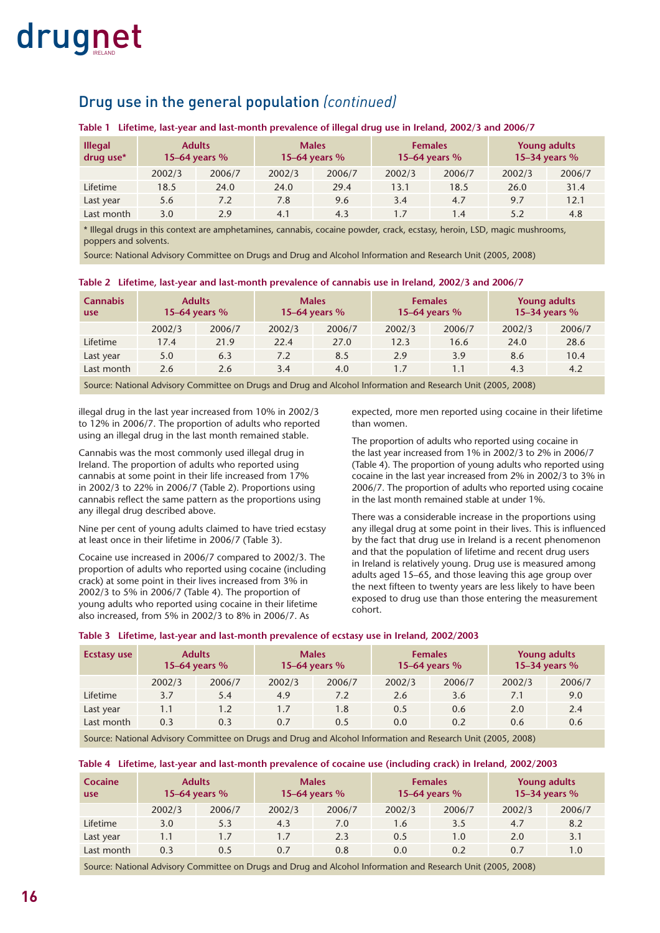#### Drug use in the general population *(continued)*

#### **Table 1 Lifetime, last-year and last-month prevalence of illegal drug use in Ireland, 2002/3 and 2006/7**

| <b>Illegal</b><br>drug use* |        | <b>Adults</b><br>15–64 years $%$ |        | <b>Males</b><br>15-64 years % |        | <b>Females</b><br>15-64 years % |        | <b>Young adults</b><br>15-34 years % |
|-----------------------------|--------|----------------------------------|--------|-------------------------------|--------|---------------------------------|--------|--------------------------------------|
|                             | 2002/3 | 2006/7                           | 2002/3 | 2006/7                        | 2002/3 | 2006/7                          | 2002/3 | 2006/7                               |
| Lifetime                    | 18.5   | 24.0                             | 24.0   | 29.4                          | 13.1   | 18.5                            | 26.0   | 31.4                                 |
| Last year                   | 5.6    | 7.2                              | 7.8    | 9.6                           | 3.4    | 4.7                             | 9.7    | 12.1                                 |
| Last month                  | 3.0    | 2.9                              | 4.1    | 4.3                           | 1.7    | 1.4                             | 5.2    | 4.8                                  |

\* Illegal drugs in this context are amphetamines, cannabis, cocaine powder, crack, ecstasy, heroin, LSD, magic mushrooms, poppers and solvents.

Source: National Advisory Committee on Drugs and Drug and Alcohol Information and Research Unit (2005, 2008)

| <b>Cannabis</b><br>use |        | <b>Adults</b><br>15–64 years $%$ |        | <b>Males</b><br>15–64 years $%$ |        | <b>Females</b><br>15–64 years $%$ |        | <b>Young adults</b><br>15-34 years % |
|------------------------|--------|----------------------------------|--------|---------------------------------|--------|-----------------------------------|--------|--------------------------------------|
|                        | 2002/3 | 2006/7                           | 2002/3 | 2006/7                          | 2002/3 | 2006/7                            | 2002/3 | 2006/7                               |
| Lifetime               | 17.4   | 21.9                             | 22.4   | 27.0                            | 12.3   | 16.6                              | 24.0   | 28.6                                 |
| Last year              | 5.0    | 6.3                              | 7.2    | 8.5                             | 2.9    | 3.9                               | 8.6    | 10.4                                 |
| Last month             | 2.6    | 2.6                              | 3.4    | 4.0                             | 1.7    | 1.1                               | 4.3    | 4.2                                  |

#### **Table 2 Lifetime, last-year and last-month prevalence of cannabis use in Ireland, 2002/3 and 2006/7**

Source: National Advisory Committee on Drugs and Drug and Alcohol Information and Research Unit (2005, 2008)

illegal drug in the last year increased from 10% in 2002/3 to 12% in 2006/7. The proportion of adults who reported using an illegal drug in the last month remained stable.

Cannabis was the most commonly used illegal drug in Ireland. The proportion of adults who reported using cannabis at some point in their life increased from 17% in 2002/3 to 22% in 2006/7 (Table 2). Proportions using cannabis reflect the same pattern as the proportions using any illegal drug described above.

Nine per cent of young adults claimed to have tried ecstasy at least once in their lifetime in 2006/7 (Table 3).

Cocaine use increased in 2006/7 compared to 2002/3. The proportion of adults who reported using cocaine (including crack) at some point in their lives increased from 3% in 2002/3 to 5% in 2006/7 (Table 4). The proportion of young adults who reported using cocaine in their lifetime also increased, from 5% in 2002/3 to 8% in 2006/7. As

expected, more men reported using cocaine in their lifetime than women.

The proportion of adults who reported using cocaine in the last year increased from 1% in 2002/3 to 2% in 2006/7 (Table 4). The proportion of young adults who reported using cocaine in the last year increased from 2% in 2002/3 to 3% in 2006/7. The proportion of adults who reported using cocaine in the last month remained stable at under 1%.

There was a considerable increase in the proportions using any illegal drug at some point in their lives. This is influenced by the fact that drug use in Ireland is a recent phenomenon and that the population of lifetime and recent drug users in Ireland is relatively young. Drug use is measured among adults aged 15–65, and those leaving this age group over the next fifteen to twenty years are less likely to have been exposed to drug use than those entering the measurement cohort.

| Table 3 Lifetime, last-year and last-month prevalence of ecstasy use in Ireland, 2002/2003 |  |  |  |  |  |  |
|--------------------------------------------------------------------------------------------|--|--|--|--|--|--|
|--------------------------------------------------------------------------------------------|--|--|--|--|--|--|

| <b>Ecstasy use</b> |        | <b>Adults</b><br>15–64 years $%$ |        | <b>Males</b><br>15–64 years $%$ |        | <b>Females</b><br>15-64 years % |        | <b>Young adults</b><br>15-34 years % |
|--------------------|--------|----------------------------------|--------|---------------------------------|--------|---------------------------------|--------|--------------------------------------|
|                    | 2002/3 | 2006/7                           | 2002/3 | 2006/7                          | 2002/3 | 2006/7                          | 2002/3 | 2006/7                               |
| Lifetime           | 3.7    | 5.4                              | 4.9    | 7.2                             | 2.6    | 3.6                             | 7.1    | 9.0                                  |
| Last year          | 1.1    | 1.2                              | 1.7    | 1.8                             | 0.5    | 0.6                             | 2.0    | 2.4                                  |
| Last month         | 0.3    | 0.3                              | 0.7    | 0.5                             | 0.0    | 0.2                             | 0.6    | 0.6                                  |

Source: National Advisory Committee on Drugs and Drug and Alcohol Information and Research Unit (2005, 2008)

#### **Table 4 Lifetime, last-year and last-month prevalence of cocaine use (including crack) in Ireland, 2002/2003**

| <b>Cocaine</b><br>use |        | <b>Adults</b><br>15–64 years $%$ | <b>Males</b> | 15–64 years $%$ |        | <b>Females</b><br>15–64 years $%$ |        | <b>Young adults</b><br>15-34 years % |
|-----------------------|--------|----------------------------------|--------------|-----------------|--------|-----------------------------------|--------|--------------------------------------|
|                       | 2002/3 | 2006/7                           | 2002/3       | 2006/7          | 2002/3 | 2006/7                            | 2002/3 | 2006/7                               |
| Lifetime              | 3.0    | 5.3                              | 4.3          | 7.0             | 1.6    | 3.5                               | 4.7    | 8.2                                  |
| Last year             | 1.1    | 1.7                              | 1.7          | 2.3             | 0.5    | 1.0                               | 2.0    | 3.1                                  |
| Last month            | 0.3    | 0.5                              | 0.7          | 0.8             | 0.0    | 0.2                               | 0.7    | 1.0                                  |

Source: National Advisory Committee on Drugs and Drug and Alcohol Information and Research Unit (2005, 2008)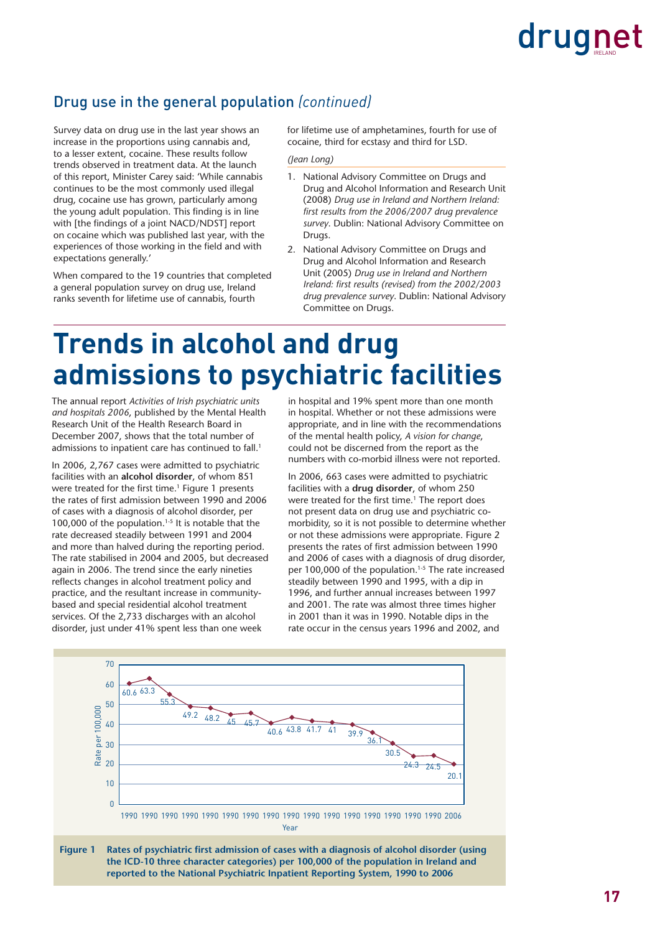#### Drug use in the general population *(continued)*

Survey data on drug use in the last year shows an increase in the proportions using cannabis and, to a lesser extent, cocaine. These results follow trends observed in treatment data. At the launch of this report, Minister Carey said: 'While cannabis continues to be the most commonly used illegal drug, cocaine use has grown, particularly among the young adult population. This finding is in line with [the findings of a joint NACD/NDST] report on cocaine which was published last year, with the experiences of those working in the field and with expectations generally.'

When compared to the 19 countries that completed a general population survey on drug use, Ireland ranks seventh for lifetime use of cannabis, fourth

for lifetime use of amphetamines, fourth for use of cocaine, third for ecstasy and third for LSD.

*(Jean Long)*

- 1. National Advisory Committee on Drugs and Drug and Alcohol Information and Research Unit (2008) *Drug use in Ireland and Northern Ireland: fi rst results from the 2006/2007 drug prevalence survey*. Dublin: National Advisory Committee on Drugs.
- 2. National Advisory Committee on Drugs and Drug and Alcohol Information and Research Unit (2005) *Drug use in Ireland and Northern Ireland: fi rst results (revised) from the 2002/2003 drug prevalence survey*. Dublin: National Advisory Committee on Drugs.

### **Trends in alcohol and drug admissions to psychiatric facilities**

The annual report *Activities of Irish psychiatric units and hospitals 2006*, published by the Mental Health Research Unit of the Health Research Board in December 2007, shows that the total number of admissions to inpatient care has continued to fall.<sup>1</sup>

In 2006, 2,767 cases were admitted to psychiatric facilities with an **alcohol disorder**, of whom 851 were treated for the first time.<sup>1</sup> Figure 1 presents the rates of first admission between 1990 and 2006 of cases with a diagnosis of alcohol disorder, per 100,000 of the population.<sup>1-5</sup> It is notable that the rate decreased steadily between 1991 and 2004 and more than halved during the reporting period. The rate stabilised in 2004 and 2005, but decreased again in 2006. The trend since the early nineties reflects changes in alcohol treatment policy and practice, and the resultant increase in communitybased and special residential alcohol treatment services. Of the 2,733 discharges with an alcohol disorder, just under 41% spent less than one week

in hospital and 19% spent more than one month in hospital. Whether or not these admissions were appropriate, and in line with the recommendations of the mental health policy, *A vision for change*, could not be discerned from the report as the numbers with co-morbid illness were not reported.

In 2006, 663 cases were admitted to psychiatric facilities with a **drug disorder**, of whom 250 were treated for the first time.<sup>1</sup> The report does not present data on drug use and psychiatric comorbidity, so it is not possible to determine whether or not these admissions were appropriate. Figure 2 presents the rates of first admission between 1990 and 2006 of cases with a diagnosis of drug disorder, per 100,000 of the population.<sup>1-5</sup> The rate increased steadily between 1990 and 1995, with a dip in 1996, and further annual increases between 1997 and 2001. The rate was almost three times higher in 2001 than it was in 1990. Notable dips in the rate occur in the census years 1996 and 2002, and



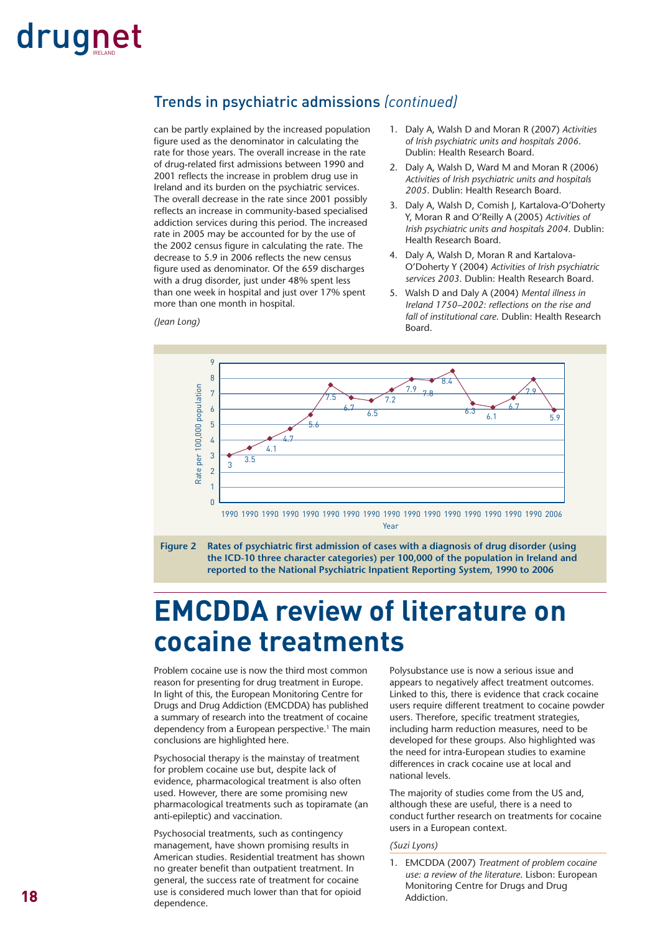#### Trends in psychiatric admissions *(continued)*

can be partly explained by the increased population figure used as the denominator in calculating the rate for those years. The overall increase in the rate of drug-related first admissions between 1990 and 2001 reflects the increase in problem drug use in Ireland and its burden on the psychiatric services. The overall decrease in the rate since 2001 possibly reflects an increase in community-based specialised addiction services during this period. The increased rate in 2005 may be accounted for by the use of the 2002 census figure in calculating the rate. The decrease to 5.9 in 2006 reflects the new census figure used as denominator. Of the 659 discharges with a drug disorder, just under 48% spent less than one week in hospital and just over 17% spent more than one month in hospital.

*(Jean Long)*

- 1. Daly A, Walsh D and Moran R (2007) *Activities of Irish psychiatric units and hospitals 2006*. Dublin: Health Research Board.
- 2. Daly A, Walsh D, Ward M and Moran R (2006) *Activities of Irish psychiatric units and hospitals 2005*. Dublin: Health Research Board.
- 3. Daly A, Walsh D, Comish J, Kartalova-O'Doherty Y, Moran R and O'Reilly A (2005) *Activities of Irish psychiatric units and hospitals 2004*. Dublin: Health Research Board.
- 4. Daly A, Walsh D, Moran R and Kartalova-O'Doherty Y (2004) *Activities of Irish psychiatric services 2003*. Dublin: Health Research Board.
- 5. Walsh D and Daly A (2004) *Mental illness in Ireland 1750–2002: reflections on the rise and fall of institutional care*. Dublin: Health Research Board.





### **EMCDDA review of literature on cocaine treatments**

Problem cocaine use is now the third most common reason for presenting for drug treatment in Europe. In light of this, the European Monitoring Centre for Drugs and Drug Addiction (EMCDDA) has published a summary of research into the treatment of cocaine dependency from a European perspective.<sup>1</sup> The main conclusions are highlighted here.

Psychosocial therapy is the mainstay of treatment for problem cocaine use but, despite lack of evidence, pharmacological treatment is also often used. However, there are some promising new pharmacological treatments such as topiramate (an anti-epileptic) and vaccination.

Psychosocial treatments, such as contingency management, have shown promising results in American studies. Residential treatment has shown no greater benefit than outpatient treatment. In general, the success rate of treatment for cocaine use is considered much lower than that for opioid dependence.

Polysubstance use is now a serious issue and appears to negatively affect treatment outcomes. Linked to this, there is evidence that crack cocaine users require different treatment to cocaine powder users. Therefore, specific treatment strategies, including harm reduction measures, need to be developed for these groups. Also highlighted was the need for intra-European studies to examine differences in crack cocaine use at local and national levels.

The majority of studies come from the US and, although these are useful, there is a need to conduct further research on treatments for cocaine users in a European context.

#### *(Suzi Lyons)*

1. EMCDDA (2007) *Treatment of problem cocaine use: a review of the literature*. Lisbon: European Monitoring Centre for Drugs and Drug Addiction.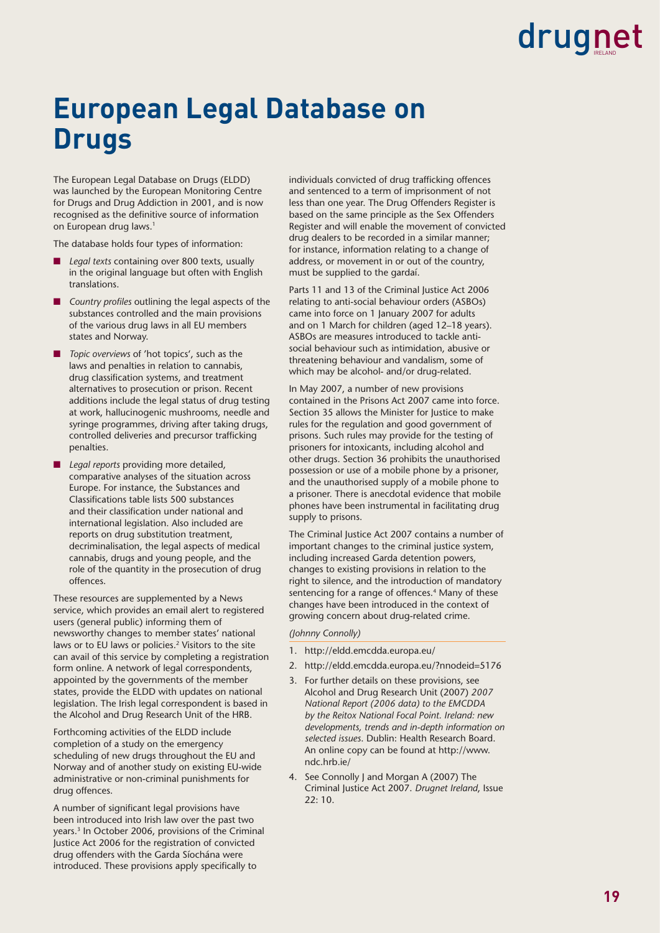### **European Legal Database on Drugs**

The European Legal Database on Drugs (ELDD) was launched by the European Monitoring Centre for Drugs and Drug Addiction in 2001, and is now recognised as the definitive source of information on European drug laws.<sup>1</sup>

The database holds four types of information:

- Legal texts containing over 800 texts, usually in the original language but often with English translations.
- *Country profiles* outlining the legal aspects of the substances controlled and the main provisions of the various drug laws in all EU members states and Norway.
- *Topic overviews* of 'hot topics', such as the laws and penalties in relation to cannabis, drug classification systems, and treatment alternatives to prosecution or prison. Recent additions include the legal status of drug testing at work, hallucinogenic mushrooms, needle and syringe programmes, driving after taking drugs, controlled deliveries and precursor trafficking penalties.
- *Legal reports* providing more detailed, comparative analyses of the situation across Europe. For instance, the Substances and Classifications table lists 500 substances and their classification under national and international legislation. Also included are reports on drug substitution treatment, decriminalisation, the legal aspects of medical cannabis, drugs and young people, and the role of the quantity in the prosecution of drug offences.

These resources are supplemented by a News service, which provides an email alert to registered users (general public) informing them of newsworthy changes to member states' national laws or to EU laws or policies.<sup>2</sup> Visitors to the site can avail of this service by completing a registration form online. A network of legal correspondents, appointed by the governments of the member states, provide the ELDD with updates on national legislation. The Irish legal correspondent is based in the Alcohol and Drug Research Unit of the HRB.

Forthcoming activities of the ELDD include completion of a study on the emergency scheduling of new drugs throughout the EU and Norway and of another study on existing EU-wide administrative or non-criminal punishments for drug offences.

A number of significant legal provisions have been introduced into Irish law over the past two years.3 In October 2006, provisions of the Criminal Justice Act 2006 for the registration of convicted drug offenders with the Garda Síochána were introduced. These provisions apply specifically to

individuals convicted of drug trafficking offences and sentenced to a term of imprisonment of not less than one year. The Drug Offenders Register is based on the same principle as the Sex Offenders Register and will enable the movement of convicted drug dealers to be recorded in a similar manner; for instance, information relating to a change of address, or movement in or out of the country, must be supplied to the gardaí.

Parts 11 and 13 of the Criminal Justice Act 2006 relating to anti-social behaviour orders (ASBOs) came into force on 1 January 2007 for adults and on 1 March for children (aged 12–18 years). ASBOs are measures introduced to tackle antisocial behaviour such as intimidation, abusive or threatening behaviour and vandalism, some of which may be alcohol- and/or drug-related.

In May 2007, a number of new provisions contained in the Prisons Act 2007 came into force. Section 35 allows the Minister for Justice to make rules for the regulation and good government of prisons. Such rules may provide for the testing of prisoners for intoxicants, including alcohol and other drugs. Section 36 prohibits the unauthorised possession or use of a mobile phone by a prisoner, and the unauthorised supply of a mobile phone to a prisoner. There is anecdotal evidence that mobile phones have been instrumental in facilitating drug supply to prisons.

The Criminal Justice Act 2007 contains a number of important changes to the criminal justice system, including increased Garda detention powers, changes to existing provisions in relation to the right to silence, and the introduction of mandatory sentencing for a range of offences.<sup>4</sup> Many of these changes have been introduced in the context of growing concern about drug-related crime.

#### *(Johnny Connolly)*

- 1. http://eldd.emcdda.europa.eu/
- 2. http://eldd.emcdda.europa.eu/?nnodeid=5176
- 3. For further details on these provisions, see Alcohol and Drug Research Unit (2007) *2007 National Report (2006 data) to the EMCDDA by the Reitox National Focal Point. Ireland: new developments, trends and in-depth information on selected issues*. Dublin: Health Research Board. An online copy can be found at http://www. ndc.hrb.ie/
- 4. See Connolly J and Morgan A (2007) The Criminal Justice Act 2007. *Drugnet Ireland*, Issue 22: 10.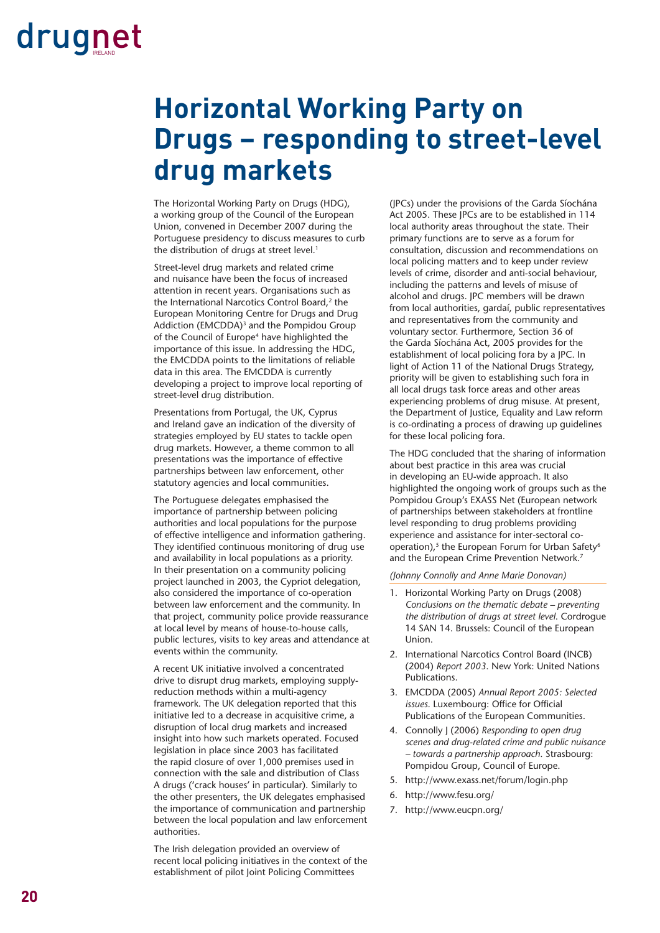### **Horizontal Working Party on Drugs – responding to street-level drug markets**

The Horizontal Working Party on Drugs (HDG), a working group of the Council of the European Union, convened in December 2007 during the Portuguese presidency to discuss measures to curb the distribution of drugs at street level.<sup>1</sup>

Street-level drug markets and related crime and nuisance have been the focus of increased attention in recent years. Organisations such as the International Narcotics Control Board,<sup>2</sup> the European Monitoring Centre for Drugs and Drug Addiction (EMCDDA)<sup>3</sup> and the Pompidou Group of the Council of Europe<sup>4</sup> have highlighted the importance of this issue. In addressing the HDG, the EMCDDA points to the limitations of reliable data in this area. The EMCDDA is currently developing a project to improve local reporting of street-level drug distribution.

Presentations from Portugal, the UK, Cyprus and Ireland gave an indication of the diversity of strategies employed by EU states to tackle open drug markets. However, a theme common to all presentations was the importance of effective partnerships between law enforcement, other statutory agencies and local communities.

The Portuguese delegates emphasised the importance of partnership between policing authorities and local populations for the purpose of effective intelligence and information gathering. They identified continuous monitoring of drug use and availability in local populations as a priority. In their presentation on a community policing project launched in 2003, the Cypriot delegation, also considered the importance of co-operation between law enforcement and the community. In that project, community police provide reassurance at local level by means of house-to-house calls, public lectures, visits to key areas and attendance at events within the community.

A recent UK initiative involved a concentrated drive to disrupt drug markets, employing supplyreduction methods within a multi-agency framework. The UK delegation reported that this initiative led to a decrease in acquisitive crime, a disruption of local drug markets and increased insight into how such markets operated. Focused legislation in place since 2003 has facilitated the rapid closure of over 1,000 premises used in connection with the sale and distribution of Class A drugs ('crack houses' in particular). Similarly to the other presenters, the UK delegates emphasised the importance of communication and partnership between the local population and law enforcement authorities.

The Irish delegation provided an overview of recent local policing initiatives in the context of the establishment of pilot Joint Policing Committees

(JPCs) under the provisions of the Garda Síochána Act 2005. These JPCs are to be established in 114 local authority areas throughout the state. Their primary functions are to serve as a forum for consultation, discussion and recommendations on local policing matters and to keep under review levels of crime, disorder and anti-social behaviour, including the patterns and levels of misuse of alcohol and drugs. JPC members will be drawn from local authorities, gardaí, public representatives and representatives from the community and voluntary sector. Furthermore, Section 36 of the Garda Síochána Act, 2005 provides for the establishment of local policing fora by a JPC. In light of Action 11 of the National Drugs Strategy, priority will be given to establishing such fora in all local drugs task force areas and other areas experiencing problems of drug misuse. At present, the Department of Justice, Equality and Law reform is co-ordinating a process of drawing up guidelines for these local policing fora.

The HDG concluded that the sharing of information about best practice in this area was crucial in developing an EU-wide approach. It also highlighted the ongoing work of groups such as the Pompidou Group's EXASS Net (European network of partnerships between stakeholders at frontline level responding to drug problems providing experience and assistance for inter-sectoral cooperation),<sup>5</sup> the European Forum for Urban Safety<sup>6</sup> and the European Crime Prevention Network.<sup>7</sup>

*(Johnny Connolly and Anne Marie Donovan)*

- 1. Horizontal Working Party on Drugs (2008) *Conclusions on the thematic debate – preventing the distribution of drugs at street level*. Cordrogue 14 SAN 14. Brussels: Council of the European Union.
- 2. International Narcotics Control Board (INCB) (2004) *Report 2003*. New York: United Nations Publications.
- 3. EMCDDA (2005) *Annual Report 2005: Selected issues*. Luxembourg: Office for Official Publications of the European Communities.
- 4. Connolly J (2006) *Responding to open drug scenes and drug-related crime and public nuisance – towards a partnership approach*. Strasbourg: Pompidou Group, Council of Europe.
- 5. http://www.exass.net/forum/login.php
- 6. http://www.fesu.org/
- 7. http://www.eucpn.org/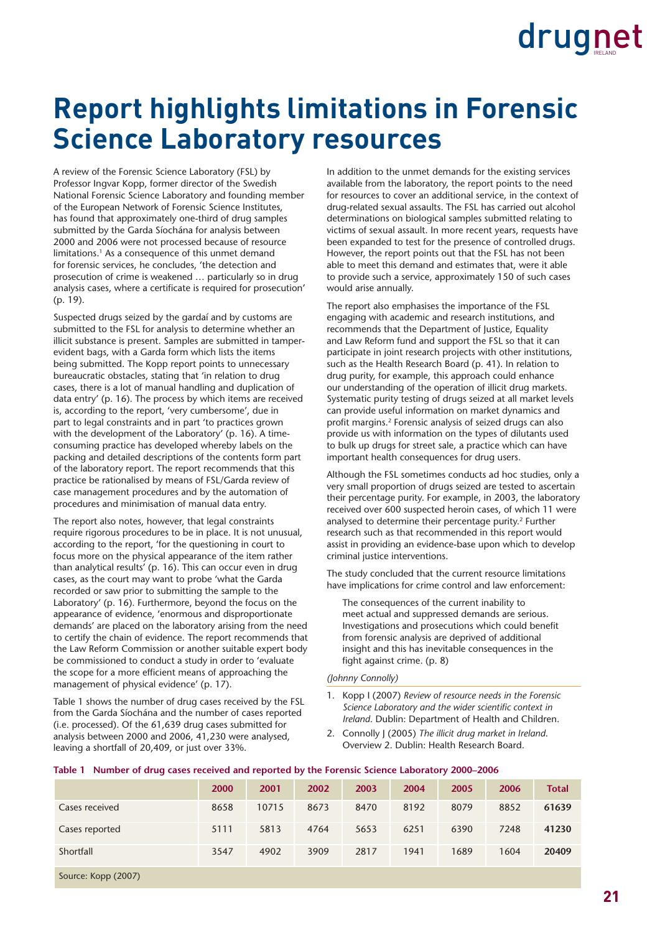### **Report highlights limitations in Forensic Science Laboratory resources**

A review of the Forensic Science Laboratory (FSL) by Professor Ingvar Kopp, former director of the Swedish National Forensic Science Laboratory and founding member of the European Network of Forensic Science Institutes, has found that approximately one-third of drug samples submitted by the Garda Síochána for analysis between 2000 and 2006 were not processed because of resource limitations.<sup>1</sup> As a consequence of this unmet demand for forensic services, he concludes, 'the detection and prosecution of crime is weakened … particularly so in drug analysis cases, where a certificate is required for prosecution' (p. 19).

Suspected drugs seized by the gardaí and by customs are submitted to the FSL for analysis to determine whether an illicit substance is present. Samples are submitted in tamperevident bags, with a Garda form which lists the items being submitted. The Kopp report points to unnecessary bureaucratic obstacles, stating that 'in relation to drug cases, there is a lot of manual handling and duplication of data entry' (p. 16). The process by which items are received is, according to the report, 'very cumbersome', due in part to legal constraints and in part 'to practices grown with the development of the Laboratory' (p. 16). A timeconsuming practice has developed whereby labels on the packing and detailed descriptions of the contents form part of the laboratory report. The report recommends that this practice be rationalised by means of FSL/Garda review of case management procedures and by the automation of procedures and minimisation of manual data entry.

The report also notes, however, that legal constraints require rigorous procedures to be in place. It is not unusual, according to the report, 'for the questioning in court to focus more on the physical appearance of the item rather than analytical results' (p. 16). This can occur even in drug cases, as the court may want to probe 'what the Garda recorded or saw prior to submitting the sample to the Laboratory' (p. 16). Furthermore, beyond the focus on the appearance of evidence, 'enormous and disproportionate demands' are placed on the laboratory arising from the need to certify the chain of evidence. The report recommends that the Law Reform Commission or another suitable expert body be commissioned to conduct a study in order to 'evaluate the scope for a more efficient means of approaching the management of physical evidence' (p. 17).

Table 1 shows the number of drug cases received by the FSL from the Garda Síochána and the number of cases reported (i.e. processed). Of the 61,639 drug cases submitted for analysis between 2000 and 2006, 41,230 were analysed, leaving a shortfall of 20,409, or just over 33%.

In addition to the unmet demands for the existing services available from the laboratory, the report points to the need for resources to cover an additional service, in the context of drug-related sexual assaults. The FSL has carried out alcohol determinations on biological samples submitted relating to victims of sexual assault. In more recent years, requests have been expanded to test for the presence of controlled drugs. However, the report points out that the FSL has not been able to meet this demand and estimates that, were it able to provide such a service, approximately 150 of such cases would arise annually.

The report also emphasises the importance of the FSL engaging with academic and research institutions, and recommends that the Department of Justice, Equality and Law Reform fund and support the FSL so that it can participate in joint research projects with other institutions, such as the Health Research Board (p. 41). In relation to drug purity, for example, this approach could enhance our understanding of the operation of illicit drug markets. Systematic purity testing of drugs seized at all market levels can provide useful information on market dynamics and profit margins.<sup>2</sup> Forensic analysis of seized drugs can also provide us with information on the types of dilutants used to bulk up drugs for street sale, a practice which can have important health consequences for drug users.

Although the FSL sometimes conducts ad hoc studies, only a very small proportion of drugs seized are tested to ascertain their percentage purity. For example, in 2003, the laboratory received over 600 suspected heroin cases, of which 11 were analysed to determine their percentage purity.<sup>2</sup> Further research such as that recommended in this report would assist in providing an evidence-base upon which to develop criminal justice interventions.

The study concluded that the current resource limitations have implications for crime control and law enforcement:

The consequences of the current inability to meet actual and suppressed demands are serious. Investigations and prosecutions which could benefit from forensic analysis are deprived of additional insight and this has inevitable consequences in the fight against crime. (p. 8)

*(Johnny Connolly)*

- 1. Kopp I (2007) *Review of resource needs in the Forensic*  Science Laboratory and the wider scientific context in *Ireland*. Dublin: Department of Health and Children.
- 2. Connolly J (2005) *The illicit drug market in Ireland*. Overview 2. Dublin: Health Research Board.

|                     | 2000 | 2001  | 2002 | 2003 | 2004 | 2005 | 2006 | <b>Total</b> |
|---------------------|------|-------|------|------|------|------|------|--------------|
| Cases received      | 8658 | 10715 | 8673 | 8470 | 8192 | 8079 | 8852 | 61639        |
| Cases reported      | 5111 | 5813  | 4764 | 5653 | 6251 | 6390 | 7248 | 41230        |
| Shortfall           | 3547 | 4902  | 3909 | 2817 | 1941 | 1689 | 1604 | 20409        |
| Source: Kopp (2007) |      |       |      |      |      |      |      |              |

#### **Table 1 Number of drug cases received and reported by the Forensic Science Laboratory 2000–2006**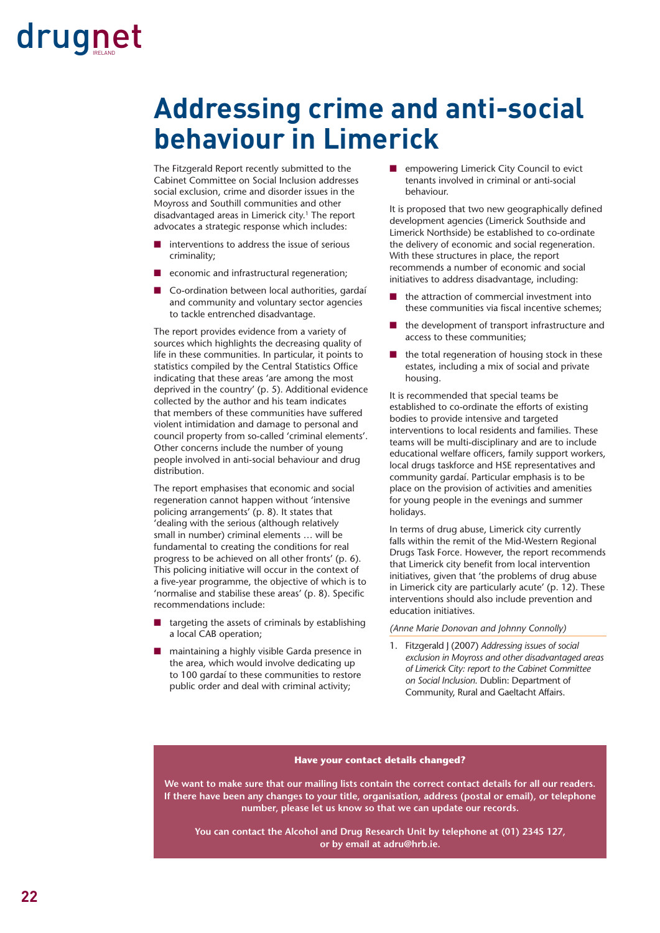### **Addressing crime and anti-social behaviour in Limerick**

The Fitzgerald Report recently submitted to the Cabinet Committee on Social Inclusion addresses social exclusion, crime and disorder issues in the Moyross and Southill communities and other disadvantaged areas in Limerick city.<sup>1</sup> The report advocates a strategic response which includes:

- interventions to address the issue of serious criminality;
- economic and infrastructural regeneration;
- Co-ordination between local authorities, gardaí and community and voluntary sector agencies to tackle entrenched disadvantage.

The report provides evidence from a variety of sources which highlights the decreasing quality of life in these communities. In particular, it points to statistics compiled by the Central Statistics Office indicating that these areas 'are among the most deprived in the country' (p. 5). Additional evidence collected by the author and his team indicates that members of these communities have suffered violent intimidation and damage to personal and council property from so-called 'criminal elements'. Other concerns include the number of young people involved in anti-social behaviour and drug distribution.

The report emphasises that economic and social regeneration cannot happen without 'intensive policing arrangements' (p. 8). It states that 'dealing with the serious (although relatively small in number) criminal elements … will be fundamental to creating the conditions for real progress to be achieved on all other fronts' (p. 6). This policing initiative will occur in the context of a five-year programme, the objective of which is to 'normalise and stabilise these areas' (p. 8). Specific recommendations include:

- targeting the assets of criminals by establishing a local CAB operation;
- maintaining a highly visible Garda presence in the area, which would involve dedicating up to 100 gardaí to these communities to restore public order and deal with criminal activity;

■ empowering Limerick City Council to evict tenants involved in criminal or anti-social behaviour.

It is proposed that two new geographically defined development agencies (Limerick Southside and Limerick Northside) be established to co-ordinate the delivery of economic and social regeneration. With these structures in place, the report recommends a number of economic and social initiatives to address disadvantage, including:

- the attraction of commercial investment into these communities via fiscal incentive schemes;
- the development of transport infrastructure and access to these communities;
- the total regeneration of housing stock in these estates, including a mix of social and private housing.

It is recommended that special teams be established to co-ordinate the efforts of existing bodies to provide intensive and targeted interventions to local residents and families. These teams will be multi-disciplinary and are to include educational welfare officers, family support workers, local drugs taskforce and HSE representatives and community gardaí. Particular emphasis is to be place on the provision of activities and amenities for young people in the evenings and summer holidays.

In terms of drug abuse, Limerick city currently falls within the remit of the Mid-Western Regional Drugs Task Force. However, the report recommends that Limerick city benefit from local intervention initiatives, given that 'the problems of drug abuse in Limerick city are particularly acute' (p. 12). These interventions should also include prevention and education initiatives.

*(Anne Marie Donovan and Johnny Connolly)*

1. Fitzgerald J (2007) *Addressing issues of social exclusion in Moyross and other disadvantaged areas of Limerick City: report to the Cabinet Committee on Social Inclusion*. Dublin: Department of Community, Rural and Gaeltacht Affairs.

#### **Have your contact details changed?**

**We want to make sure that our mailing lists contain the correct contact details for all our readers. If there have been any changes to your title, organisation, address (postal or email), or telephone number, please let us know so that we can update our records.** 

**You can contact the Alcohol and Drug Research Unit by telephone at (01) 2345 127, or by email at adru@hrb.ie.**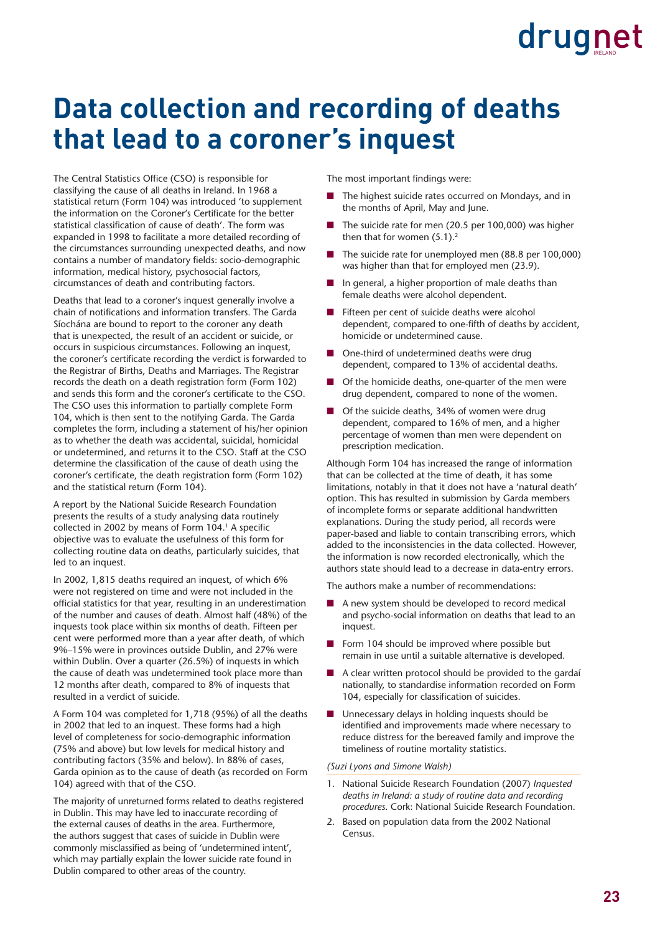### **Data collection and recording of deaths that lead to a coroner's inquest**

The Central Statistics Office (CSO) is responsible for classifying the cause of all deaths in Ireland. In 1968 a statistical return (Form 104) was introduced 'to supplement the information on the Coroner's Certificate for the better statistical classification of cause of death'. The form was expanded in 1998 to facilitate a more detailed recording of the circumstances surrounding unexpected deaths, and now contains a number of mandatory fields: socio-demographic information, medical history, psychosocial factors, circumstances of death and contributing factors.

Deaths that lead to a coroner's inquest generally involve a chain of notifications and information transfers. The Garda Síochána are bound to report to the coroner any death that is unexpected, the result of an accident or suicide, or occurs in suspicious circumstances. Following an inquest, the coroner's certificate recording the verdict is forwarded to the Registrar of Births, Deaths and Marriages. The Registrar records the death on a death registration form (Form 102) and sends this form and the coroner's certificate to the CSO. The CSO uses this information to partially complete Form 104, which is then sent to the notifying Garda. The Garda completes the form, including a statement of his/her opinion as to whether the death was accidental, suicidal, homicidal or undetermined, and returns it to the CSO. Staff at the CSO determine the classification of the cause of death using the coroner's certificate, the death registration form (Form 102) and the statistical return (Form 104).

A report by the National Suicide Research Foundation presents the results of a study analysing data routinely collected in 2002 by means of Form 104.<sup>1</sup> A specific objective was to evaluate the usefulness of this form for collecting routine data on deaths, particularly suicides, that led to an inquest.

In 2002, 1,815 deaths required an inquest, of which 6% were not registered on time and were not included in the official statistics for that year, resulting in an underestimation of the number and causes of death. Almost half (48%) of the inquests took place within six months of death. Fifteen per cent were performed more than a year after death, of which 9%–15% were in provinces outside Dublin, and 27% were within Dublin. Over a quarter (26.5%) of inquests in which the cause of death was undetermined took place more than 12 months after death, compared to 8% of inquests that resulted in a verdict of suicide.

A Form 104 was completed for 1,718 (95%) of all the deaths in 2002 that led to an inquest. These forms had a high level of completeness for socio-demographic information (75% and above) but low levels for medical history and contributing factors (35% and below). In 88% of cases, Garda opinion as to the cause of death (as recorded on Form 104) agreed with that of the CSO.

The majority of unreturned forms related to deaths registered in Dublin. This may have led to inaccurate recording of the external causes of deaths in the area. Furthermore, the authors suggest that cases of suicide in Dublin were commonly misclassified as being of 'undetermined intent', which may partially explain the lower suicide rate found in Dublin compared to other areas of the country.

The most important findings were:

- The highest suicide rates occurred on Mondays, and in the months of April, May and June.
- The suicide rate for men (20.5 per 100,000) was higher then that for women  $(5.1).<sup>2</sup>$
- The suicide rate for unemployed men (88.8 per 100,000) was higher than that for employed men (23.9).
- In general, a higher proportion of male deaths than female deaths were alcohol dependent.
- Fifteen per cent of suicide deaths were alcohol dependent, compared to one-fifth of deaths by accident, homicide or undetermined cause.
- One-third of undetermined deaths were drug dependent, compared to 13% of accidental deaths.
- Of the homicide deaths, one-quarter of the men were drug dependent, compared to none of the women.
- Of the suicide deaths, 34% of women were drug dependent, compared to 16% of men, and a higher percentage of women than men were dependent on prescription medication.

Although Form 104 has increased the range of information that can be collected at the time of death, it has some limitations, notably in that it does not have a 'natural death' option. This has resulted in submission by Garda members of incomplete forms or separate additional handwritten explanations. During the study period, all records were paper-based and liable to contain transcribing errors, which added to the inconsistencies in the data collected. However, the information is now recorded electronically, which the authors state should lead to a decrease in data-entry errors.

The authors make a number of recommendations:

- A new system should be developed to record medical and psycho-social information on deaths that lead to an inquest.
- Form 104 should be improved where possible but remain in use until a suitable alternative is developed.
- A clear written protocol should be provided to the gardaí nationally, to standardise information recorded on Form 104, especially for classification of suicides.
- Unnecessary delays in holding inquests should be identified and improvements made where necessary to reduce distress for the bereaved family and improve the timeliness of routine mortality statistics.

*(Suzi Lyons and Simone Walsh)*

- 1. National Suicide Research Foundation (2007) *Inquested deaths in Ireland: a study of routine data and recording procedures*. Cork: National Suicide Research Foundation.
- 2. Based on population data from the 2002 National Census.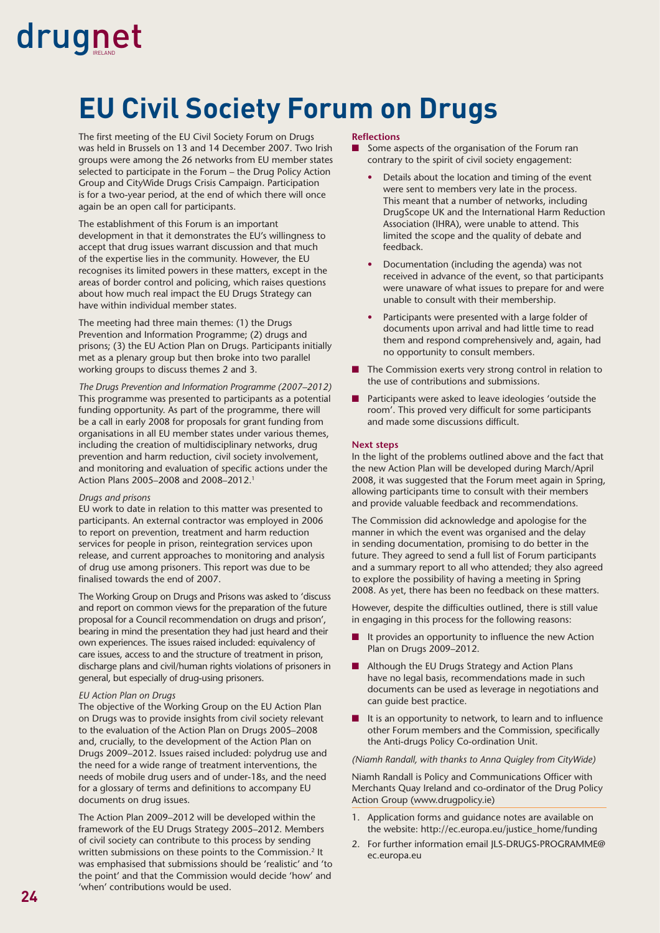### **EU Civil Society Forum on Drugs**

The first meeting of the EU Civil Society Forum on Drugs was held in Brussels on 13 and 14 December 2007. Two Irish groups were among the 26 networks from EU member states selected to participate in the Forum – the Drug Policy Action Group and CityWide Drugs Crisis Campaign. Participation is for a two-year period, at the end of which there will once again be an open call for participants.

The establishment of this Forum is an important development in that it demonstrates the EU's willingness to accept that drug issues warrant discussion and that much of the expertise lies in the community. However, the EU recognises its limited powers in these matters, except in the areas of border control and policing, which raises questions about how much real impact the EU Drugs Strategy can have within individual member states.

The meeting had three main themes: (1) the Drugs Prevention and Information Programme; (2) drugs and prisons; (3) the EU Action Plan on Drugs. Participants initially met as a plenary group but then broke into two parallel working groups to discuss themes 2 and 3.

*The Drugs Prevention and Information Programme (2007–2012)* This programme was presented to participants as a potential funding opportunity. As part of the programme, there will be a call in early 2008 for proposals for grant funding from organisations in all EU member states under various themes, including the creation of multidisciplinary networks, drug prevention and harm reduction, civil society involvement, and monitoring and evaluation of specific actions under the Action Plans 2005–2008 and 2008–2012.1

#### *Drugs and prisons*

EU work to date in relation to this matter was presented to participants. An external contractor was employed in 2006 to report on prevention, treatment and harm reduction services for people in prison, reintegration services upon release, and current approaches to monitoring and analysis of drug use among prisoners. This report was due to be finalised towards the end of 2007.

The Working Group on Drugs and Prisons was asked to 'discuss and report on common views for the preparation of the future proposal for a Council recommendation on drugs and prison', bearing in mind the presentation they had just heard and their own experiences. The issues raised included: equivalency of care issues, access to and the structure of treatment in prison, discharge plans and civil/human rights violations of prisoners in general, but especially of drug-using prisoners.

#### *EU Action Plan on Drugs*

The objective of the Working Group on the EU Action Plan on Drugs was to provide insights from civil society relevant to the evaluation of the Action Plan on Drugs 2005–2008 and, crucially, to the development of the Action Plan on Drugs 2009–2012. Issues raised included: polydrug use and the need for a wide range of treatment interventions, the needs of mobile drug users and of under-18s, and the need for a glossary of terms and definitions to accompany EU documents on drug issues.

The Action Plan 2009–2012 will be developed within the framework of the EU Drugs Strategy 2005–2012. Members of civil society can contribute to this process by sending written submissions on these points to the Commission.<sup>2</sup> It was emphasised that submissions should be 'realistic' and 'to the point' and that the Commission would decide 'how' and 'when' contributions would be used.

#### **Refl ections**

- Some aspects of the organisation of the Forum ran contrary to the spirit of civil society engagement:
	- Details about the location and timing of the event were sent to members very late in the process. This meant that a number of networks, including DrugScope UK and the International Harm Reduction Association (IHRA), were unable to attend. This limited the scope and the quality of debate and feedback.
	- Documentation (including the agenda) was not received in advance of the event, so that participants were unaware of what issues to prepare for and were unable to consult with their membership.
	- Participants were presented with a large folder of documents upon arrival and had little time to read them and respond comprehensively and, again, had no opportunity to consult members.
- The Commission exerts very strong control in relation to the use of contributions and submissions.
- Participants were asked to leave ideologies 'outside the room'. This proved very difficult for some participants and made some discussions difficult.

#### **Next steps**

In the light of the problems outlined above and the fact that the new Action Plan will be developed during March/April 2008, it was suggested that the Forum meet again in Spring, allowing participants time to consult with their members and provide valuable feedback and recommendations.

The Commission did acknowledge and apologise for the manner in which the event was organised and the delay in sending documentation, promising to do better in the future. They agreed to send a full list of Forum participants and a summary report to all who attended; they also agreed to explore the possibility of having a meeting in Spring 2008. As yet, there has been no feedback on these matters.

However, despite the difficulties outlined, there is still value in engaging in this process for the following reasons:

- It provides an opportunity to influence the new Action Plan on Drugs 2009–2012.
- Although the EU Drugs Strategy and Action Plans have no legal basis, recommendations made in such documents can be used as leverage in negotiations and can guide best practice.
- It is an opportunity to network, to learn and to influence other Forum members and the Commission, specifically the Anti-drugs Policy Co-ordination Unit.

*(Niamh Randall, with thanks to Anna Quigley from CityWide)*

Niamh Randall is Policy and Communications Officer with Merchants Quay Ireland and co-ordinator of the Drug Policy Action Group (www.drugpolicy.ie)

- 1. Application forms and guidance notes are available on the website: http://ec.europa.eu/justice\_home/funding
- 2. For further information email JLS-DRUGS-PROGRAMME@ ec.europa.eu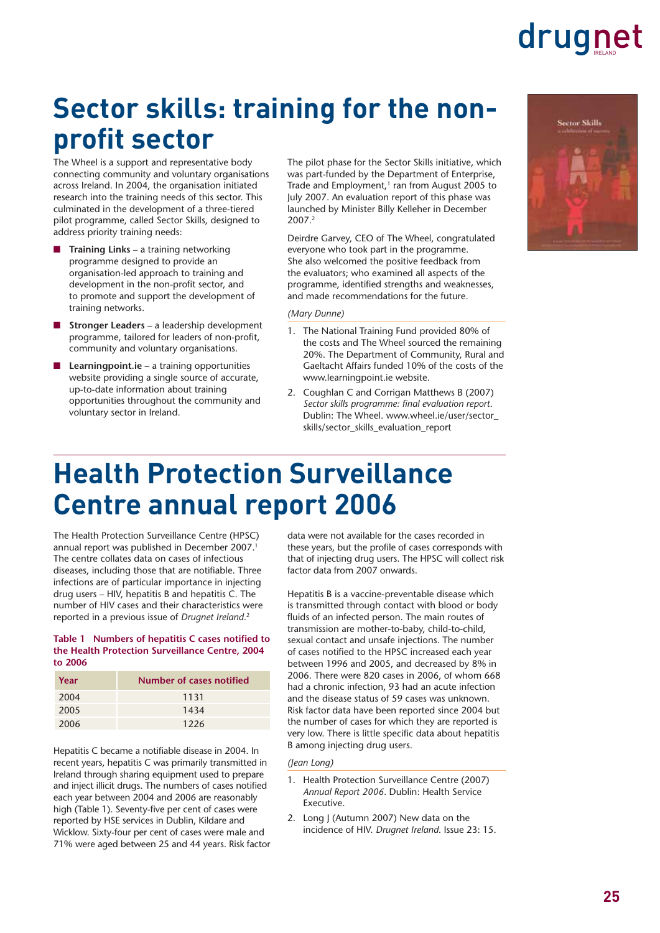### **Sector skills: training for the nonprofit sector**

The Wheel is a support and representative body connecting community and voluntary organisations across Ireland. In 2004, the organisation initiated research into the training needs of this sector. This culminated in the development of a three-tiered pilot programme, called Sector Skills, designed to address priority training needs:

- **Training Links** a training networking programme designed to provide an organisation-led approach to training and development in the non-profit sector, and to promote and support the development of training networks.
- **Stronger Leaders** a leadership development programme, tailored for leaders of non-profit, community and voluntary organisations.
- **Learningpoint.ie** a training opportunities website providing a single source of accurate, up-to-date information about training opportunities throughout the community and voluntary sector in Ireland.

The pilot phase for the Sector Skills initiative, which was part-funded by the Department of Enterprise, Trade and Employment,<sup>1</sup> ran from August 2005 to July 2007. An evaluation report of this phase was launched by Minister Billy Kelleher in December 2007.2

Deirdre Garvey, CEO of The Wheel, congratulated everyone who took part in the programme. She also welcomed the positive feedback from the evaluators; who examined all aspects of the programme, identified strengths and weaknesses, and made recommendations for the future.

#### *(Mary Dunne)*

- 1. The National Training Fund provided 80% of the costs and The Wheel sourced the remaining 20%. The Department of Community, Rural and Gaeltacht Affairs funded 10% of the costs of the www.learningpoint.ie website.
- 2. Coughlan C and Corrigan Matthews B (2007) Sector skills programme: final evaluation report. Dublin: The Wheel. www.wheel.ie/user/sector\_ skills/sector\_skills\_evaluation\_report



### **Health Protection Surveillance Centre annual report 2006**

The Health Protection Surveillance Centre (HPSC) annual report was published in December 2007.<sup>1</sup> The centre collates data on cases of infectious diseases, including those that are notifiable. Three infections are of particular importance in injecting drug users – HIV, hepatitis B and hepatitis C. The number of HIV cases and their characteristics were reported in a previous issue of *Drugnet Ireland*. 2

#### Table 1 Numbers of hepatitis C cases notified to **the Health Protection Surveillance Centre, 2004 to 2006**

| Year | Number of cases notified |
|------|--------------------------|
| 2004 | 1131                     |
| 2005 | 1434                     |
| 2006 | 1226                     |

Hepatitis C became a notifiable disease in 2004. In recent years, hepatitis C was primarily transmitted in Ireland through sharing equipment used to prepare and inject illicit drugs. The numbers of cases notified each year between 2004 and 2006 are reasonably high (Table 1). Seventy-five per cent of cases were reported by HSE services in Dublin, Kildare and Wicklow. Sixty-four per cent of cases were male and 71% were aged between 25 and 44 years. Risk factor data were not available for the cases recorded in these years, but the profile of cases corresponds with that of injecting drug users. The HPSC will collect risk factor data from 2007 onwards.

Hepatitis B is a vaccine-preventable disease which is transmitted through contact with blood or body fluids of an infected person. The main routes of transmission are mother-to-baby, child-to-child, sexual contact and unsafe injections. The number of cases notified to the HPSC increased each year between 1996 and 2005, and decreased by 8% in 2006. There were 820 cases in 2006, of whom 668 had a chronic infection, 93 had an acute infection and the disease status of 59 cases was unknown. Risk factor data have been reported since 2004 but the number of cases for which they are reported is very low. There is little specific data about hepatitis B among injecting drug users.

#### *(Jean Long)*

- 1. Health Protection Surveillance Centre (2007) *Annual Report 2006*. Dublin: Health Service Executive.
- 2. Long J (Autumn 2007) New data on the incidence of HIV. *Drugnet Ireland*. Issue 23: 15.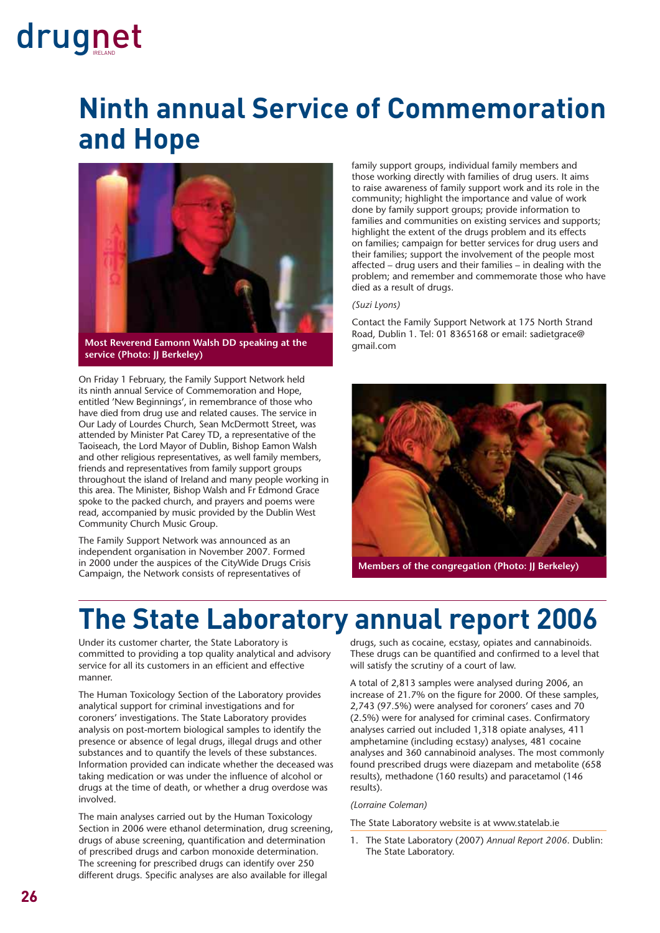### **Ninth annual Service of Commemoration and Hope**



**Most Reverend Eamonn Walsh DD speaking at the service (Photo: JJ Berkeley)**

On Friday 1 February, the Family Support Network held its ninth annual Service of Commemoration and Hope, entitled 'New Beginnings', in remembrance of those who have died from drug use and related causes. The service in Our Lady of Lourdes Church, Sean McDermott Street, was attended by Minister Pat Carey TD, a representative of the Taoiseach, the Lord Mayor of Dublin, Bishop Eamon Walsh and other religious representatives, as well family members, friends and representatives from family support groups throughout the island of Ireland and many people working in this area. The Minister, Bishop Walsh and Fr Edmond Grace spoke to the packed church, and prayers and poems were read, accompanied by music provided by the Dublin West Community Church Music Group.

The Family Support Network was announced as an independent organisation in November 2007. Formed in 2000 under the auspices of the CityWide Drugs Crisis Campaign, the Network consists of representatives of

family support groups, individual family members and those working directly with families of drug users. It aims to raise awareness of family support work and its role in the community; highlight the importance and value of work done by family support groups; provide information to families and communities on existing services and supports; highlight the extent of the drugs problem and its effects on families; campaign for better services for drug users and their families; support the involvement of the people most affected – drug users and their families – in dealing with the problem; and remember and commemorate those who have died as a result of drugs.

#### *(Suzi Lyons)*

Contact the Family Support Network at 175 North Strand Road, Dublin 1. Tel: 01 8365168 or email: sadietgrace@ gmail.com



**Members of the congregation (Photo: II Berkeley)** 

### **The State Laboratory annual report 2006**

Under its customer charter, the State Laboratory is committed to providing a top quality analytical and advisory service for all its customers in an efficient and effective manner.

The Human Toxicology Section of the Laboratory provides analytical support for criminal investigations and for coroners' investigations. The State Laboratory provides analysis on post-mortem biological samples to identify the presence or absence of legal drugs, illegal drugs and other substances and to quantify the levels of these substances. Information provided can indicate whether the deceased was taking medication or was under the influence of alcohol or drugs at the time of death, or whether a drug overdose was involved.

The main analyses carried out by the Human Toxicology Section in 2006 were ethanol determination, drug screening, drugs of abuse screening, quantification and determination of prescribed drugs and carbon monoxide determination. The screening for prescribed drugs can identify over 250 different drugs. Specific analyses are also available for illegal

drugs, such as cocaine, ecstasy, opiates and cannabinoids. These drugs can be quantified and confirmed to a level that will satisfy the scrutiny of a court of law.

A total of 2,813 samples were analysed during 2006, an increase of 21.7% on the figure for 2000. Of these samples, 2,743 (97.5%) were analysed for coroners' cases and 70 (2.5%) were for analysed for criminal cases. Confirmatory analyses carried out included 1,318 opiate analyses, 411 amphetamine (including ecstasy) analyses, 481 cocaine analyses and 360 cannabinoid analyses. The most commonly found prescribed drugs were diazepam and metabolite (658 results), methadone (160 results) and paracetamol (146 results).

#### *(Lorraine Coleman)*

The State Laboratory website is at www.statelab.ie

1. The State Laboratory (2007) *Annual Report 2006*. Dublin: The State Laboratory.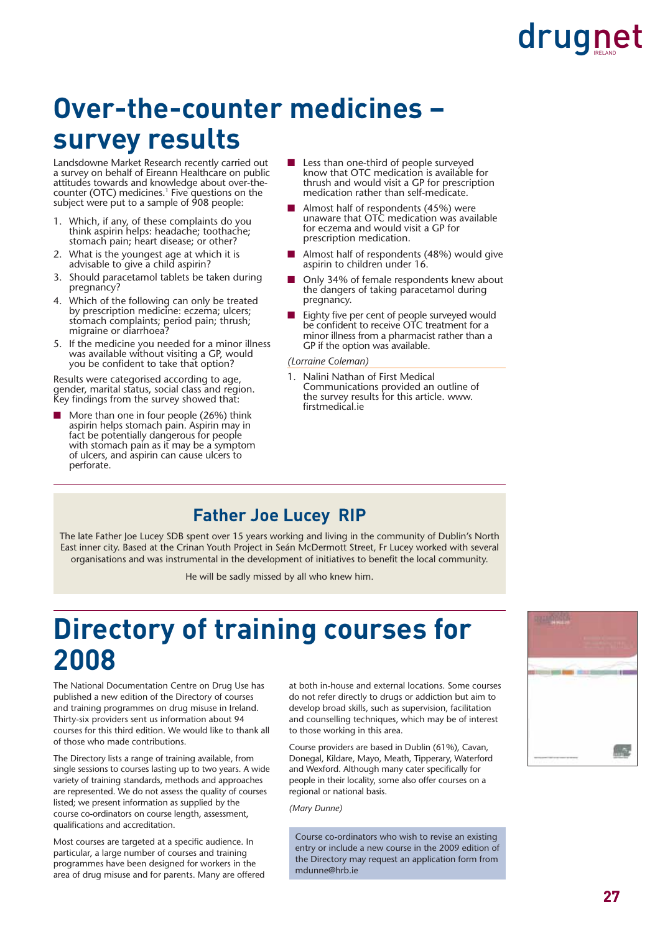### **Over-the-counter medicines – survey results**

Landsdowne Market Research recently carried out a survey on behalf of Eireann Healthcare on public attitudes towards and knowledge about over-thecounter (OTC) medicines.<sup>1</sup> Five questions on the subject were put to a sample of 908 people:

- 1. Which, if any, of these complaints do you think aspirin helps: headache; toothache; stomach pain; heart disease; or other?
- 2. What is the youngest age at which it is advisable to give a child aspirin?
- 3. Should paracetamol tablets be taken during pregnancy?
- 4. Which of the following can only be treated by prescription medicine: eczema; ulcers; stomach complaints; period pain; thrush; migraine or diarrhoea?
- 5. If the medicine you needed for a minor illness was available without visiting a GP, would you be confident to take that option?

Results were categorised according to age, gender, marital status, social class and region. Key findings from the survey showed that:

More than one in four people (26%) think aspirin helps stomach pain. Aspirin may in fact be potentially dangerous for people with stomach pain as it may be a symptom of ulcers, and aspirin can cause ulcers to perforate.

- Less than one-third of people surveyed know that OTC medication is available for thrush and would visit a GP for prescription medication rather than self-medicate.
- Almost half of respondents (45%) were unaware that OTC medication was available for eczema and would visit a GP for prescription medication.
- Almost half of respondents (48%) would give aspirin to children under 16.
- Only 34% of female respondents knew about the dangers of taking paracetamol during pregnancy.
- Eighty five per cent of people surveyed would be confident to receive OTC treatment for a minor illness from a pharmacist rather than a GP if the option was available.

*(Lorraine Coleman)*

1. Nalini Nathan of First Medical Communications provided an outline of the survey results for this article. www. firstmedical.ie

### **Father Joe Lucey RIP**

The late Father Joe Lucey SDB spent over 15 years working and living in the community of Dublin's North East inner city. Based at the Crinan Youth Project in Seán McDermott Street, Fr Lucey worked with several organisations and was instrumental in the development of initiatives to benefit the local community.

He will be sadly missed by all who knew him.

### **Directory of training courses for 2008**

The National Documentation Centre on Drug Use has published a new edition of the Directory of courses and training programmes on drug misuse in Ireland. Thirty-six providers sent us information about 94 courses for this third edition. We would like to thank all of those who made contributions.

The Directory lists a range of training available, from single sessions to courses lasting up to two years. A wide variety of training standards, methods and approaches are represented. We do not assess the quality of courses listed; we present information as supplied by the course co-ordinators on course length, assessment, qualifications and accreditation.

Most courses are targeted at a specific audience. In particular, a large number of courses and training programmes have been designed for workers in the area of drug misuse and for parents. Many are offered at both in-house and external locations. Some courses do not refer directly to drugs or addiction but aim to develop broad skills, such as supervision, facilitation and counselling techniques, which may be of interest to those working in this area.

Course providers are based in Dublin (61%), Cavan, Donegal, Kildare, Mayo, Meath, Tipperary, Waterford and Wexford. Although many cater specifically for people in their locality, some also offer courses on a regional or national basis.

*(Mary Dunne)*

Course co-ordinators who wish to revise an existing entry or include a new course in the 2009 edition of the Directory may request an application form from mdunne@hrb.ie

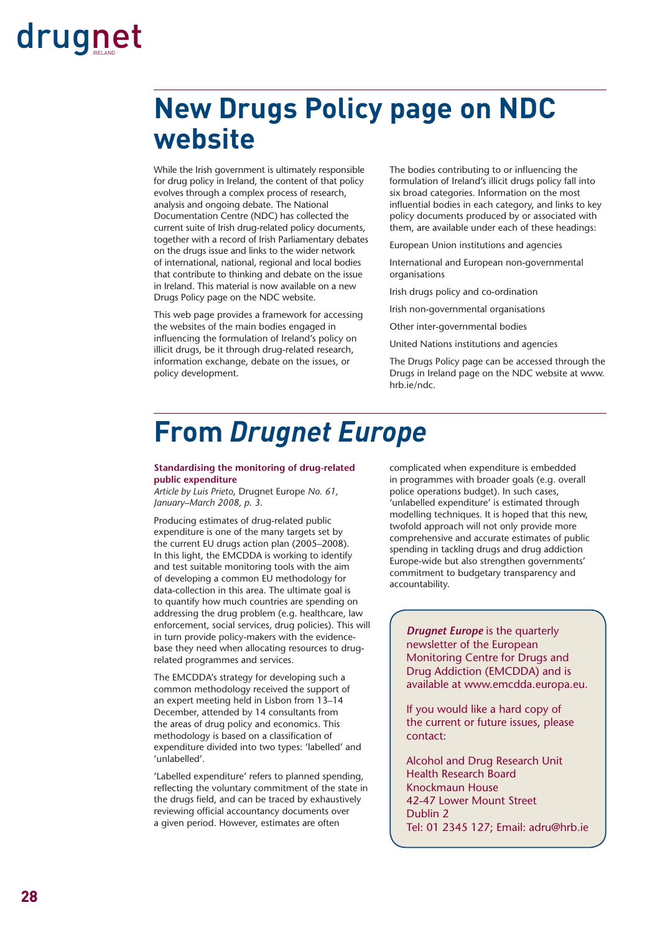### **New Drugs Policy page on NDC website**

While the Irish government is ultimately responsible for drug policy in Ireland, the content of that policy evolves through a complex process of research, analysis and ongoing debate. The National Documentation Centre (NDC) has collected the current suite of Irish drug-related policy documents, together with a record of Irish Parliamentary debates on the drugs issue and links to the wider network of international, national, regional and local bodies that contribute to thinking and debate on the issue in Ireland. This material is now available on a new Drugs Policy page on the NDC website.

This web page provides a framework for accessing the websites of the main bodies engaged in influencing the formulation of Ireland's policy on illicit drugs, be it through drug-related research, information exchange, debate on the issues, or policy development.

The bodies contributing to or influencing the formulation of Ireland's illicit drugs policy fall into six broad categories. Information on the most influential bodies in each category, and links to key policy documents produced by or associated with them, are available under each of these headings:

European Union institutions and agencies

International and European non-governmental organisations

Irish drugs policy and co-ordination

Irish non-governmental organisations

Other inter-governmental bodies

United Nations institutions and agencies

The Drugs Policy page can be accessed through the Drugs in Ireland page on the NDC website at www. hrb.ie/ndc.

### **From** *Drugnet Europe*

#### **Standardising the monitoring of drug-related public expenditure**

*Article by Luis Prieto*, Drugnet Europe *No. 61, January–March 2008, p. 3*.

Producing estimates of drug-related public expenditure is one of the many targets set by the current EU drugs action plan (2005–2008). In this light, the EMCDDA is working to identify and test suitable monitoring tools with the aim of developing a common EU methodology for data-collection in this area. The ultimate goal is to quantify how much countries are spending on addressing the drug problem (e.g. healthcare, law enforcement, social services, drug policies). This will in turn provide policy-makers with the evidencebase they need when allocating resources to drugrelated programmes and services.

The EMCDDA's strategy for developing such a common methodology received the support of an expert meeting held in Lisbon from 13–14 December, attended by 14 consultants from the areas of drug policy and economics. This methodology is based on a classification of expenditure divided into two types: 'labelled' and 'unlabelled'.

'Labelled expenditure' refers to planned spending, reflecting the voluntary commitment of the state in the drugs field, and can be traced by exhaustively reviewing official accountancy documents over a given period. However, estimates are often

complicated when expenditure is embedded in programmes with broader goals (e.g. overall police operations budget). In such cases, 'unlabelled expenditure' is estimated through modelling techniques. It is hoped that this new, twofold approach will not only provide more comprehensive and accurate estimates of public spending in tackling drugs and drug addiction Europe-wide but also strengthen governments' commitment to budgetary transparency and accountability.

*Drugnet Europe* is the quarterly newsletter of the European Monitoring Centre for Drugs and Drug Addiction (EMCDDA) and is available at www.emcdda.europa.eu.

If you would like a hard copy of the current or future issues, please contact:

Alcohol and Drug Research Unit Health Research Board Knockmaun House 42-47 Lower Mount Street Dublin 2 Tel: 01 2345 127; Email: adru@hrb.ie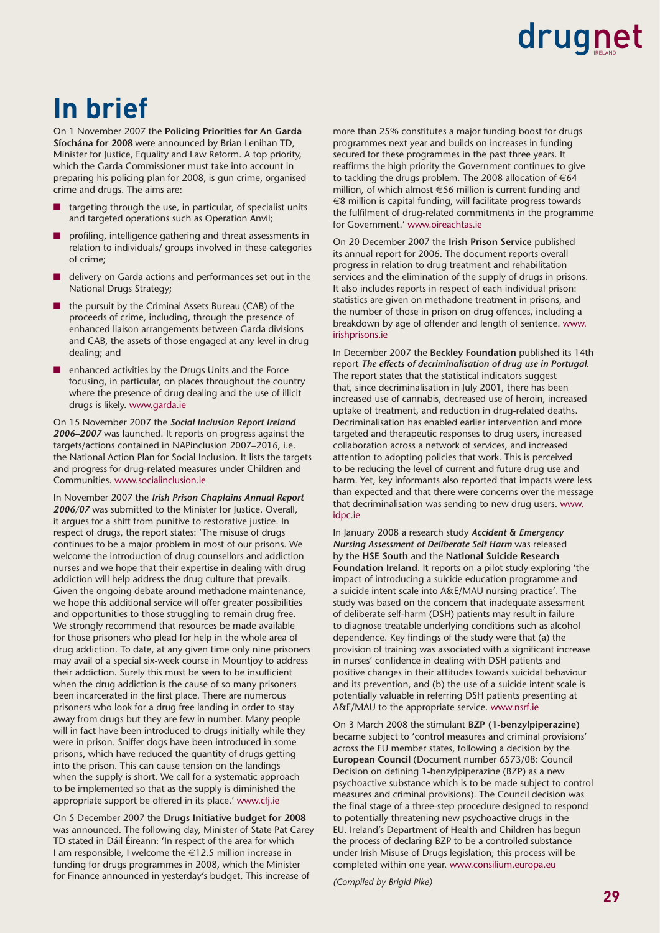# **In brief**

On 1 November 2007 the **Policing Priorities for An Garda Síochána for 2008** were announced by Brian Lenihan TD, Minister for Justice, Equality and Law Reform. A top priority, which the Garda Commissioner must take into account in preparing his policing plan for 2008, is gun crime, organised crime and drugs. The aims are:

- targeting through the use, in particular, of specialist units and targeted operations such as Operation Anvil;
- profiling, intelligence gathering and threat assessments in relation to individuals/ groups involved in these categories of crime;
- delivery on Garda actions and performances set out in the National Drugs Strategy;
- the pursuit by the Criminal Assets Bureau (CAB) of the proceeds of crime, including, through the presence of enhanced liaison arrangements between Garda divisions and CAB, the assets of those engaged at any level in drug dealing; and
- enhanced activities by the Drugs Units and the Force focusing, in particular, on places throughout the country where the presence of drug dealing and the use of illicit drugs is likely. www.garda.ie

On 15 November 2007 the *Social Inclusion Report Ireland 2006–2007* was launched. It reports on progress against the targets/actions contained in NAPinclusion 2007–2016, i.e. the National Action Plan for Social Inclusion. It lists the targets and progress for drug-related measures under Children and Communities. www.socialinclusion.ie

In November 2007 the *Irish Prison Chaplains Annual Report 2006/07* was submitted to the Minister for Justice. Overall, it argues for a shift from punitive to restorative justice. In respect of drugs, the report states: 'The misuse of drugs continues to be a major problem in most of our prisons. We welcome the introduction of drug counsellors and addiction nurses and we hope that their expertise in dealing with drug addiction will help address the drug culture that prevails. Given the ongoing debate around methadone maintenance, we hope this additional service will offer greater possibilities and opportunities to those struggling to remain drug free. We strongly recommend that resources be made available for those prisoners who plead for help in the whole area of drug addiction. To date, at any given time only nine prisoners may avail of a special six-week course in Mountjoy to address their addiction. Surely this must be seen to be insufficient when the drug addiction is the cause of so many prisoners been incarcerated in the first place. There are numerous prisoners who look for a drug free landing in order to stay away from drugs but they are few in number. Many people will in fact have been introduced to drugs initially while they were in prison. Sniffer dogs have been introduced in some prisons, which have reduced the quantity of drugs getting into the prison. This can cause tension on the landings when the supply is short. We call for a systematic approach to be implemented so that as the supply is diminished the appropriate support be offered in its place.' www.cfj.ie

On 5 December 2007 the **Drugs Initiative budget for 2008** was announced. The following day, Minister of State Pat Carey TD stated in Dáil Éireann: 'In respect of the area for which I am responsible, I welcome the €12.5 million increase in funding for drugs programmes in 2008, which the Minister for Finance announced in yesterday's budget. This increase of

more than 25% constitutes a major funding boost for drugs programmes next year and builds on increases in funding secured for these programmes in the past three years. It reaffirms the high priority the Government continues to give to tackling the drugs problem. The 2008 allocation of  $\epsilon$ 64 million, of which almost €56 million is current funding and €8 million is capital funding, will facilitate progress towards the fulfilment of drug-related commitments in the programme for Government.' www.oireachtas.ie

On 20 December 2007 the **Irish Prison Service** published its annual report for 2006. The document reports overall progress in relation to drug treatment and rehabilitation services and the elimination of the supply of drugs in prisons. It also includes reports in respect of each individual prison: statistics are given on methadone treatment in prisons, and the number of those in prison on drug offences, including a breakdown by age of offender and length of sentence. www. irishprisons.ie

In December 2007 the **Beckley Foundation** published its 14th report *The effects of decriminalisation of drug use in Portugal*. The report states that the statistical indicators suggest that, since decriminalisation in July 2001, there has been increased use of cannabis, decreased use of heroin, increased uptake of treatment, and reduction in drug-related deaths. Decriminalisation has enabled earlier intervention and more targeted and therapeutic responses to drug users, increased collaboration across a network of services, and increased attention to adopting policies that work. This is perceived to be reducing the level of current and future drug use and harm. Yet, key informants also reported that impacts were less than expected and that there were concerns over the message that decriminalisation was sending to new drug users. www. idpc.ie

In January 2008 a research study *Accident & Emergency Nursing Assessment of Deliberate Self Harm* was released by the **HSE South** and the **National Suicide Research Foundation Ireland**. It reports on a pilot study exploring 'the impact of introducing a suicide education programme and a suicide intent scale into A&E/MAU nursing practice'. The study was based on the concern that inadequate assessment of deliberate self-harm (DSH) patients may result in failure to diagnose treatable underlying conditions such as alcohol dependence. Key findings of the study were that (a) the provision of training was associated with a significant increase in nurses' confidence in dealing with DSH patients and positive changes in their attitudes towards suicidal behaviour and its prevention, and (b) the use of a suicide intent scale is potentially valuable in referring DSH patients presenting at A&E/MAU to the appropriate service. www.nsrf.ie

On 3 March 2008 the stimulant **BZP (1-benzylpiperazine)** became subject to 'control measures and criminal provisions' across the EU member states, following a decision by the **European Council** (Document number 6573/08: Council Decision on defining 1-benzylpiperazine (BZP) as a new psychoactive substance which is to be made subject to control measures and criminal provisions). The Council decision was the final stage of a three-step procedure designed to respond to potentially threatening new psychoactive drugs in the EU. Ireland's Department of Health and Children has begun the process of declaring BZP to be a controlled substance under Irish Misuse of Drugs legislation; this process will be completed within one year. www.consilium.europa.eu

*(Compiled by Brigid Pike)*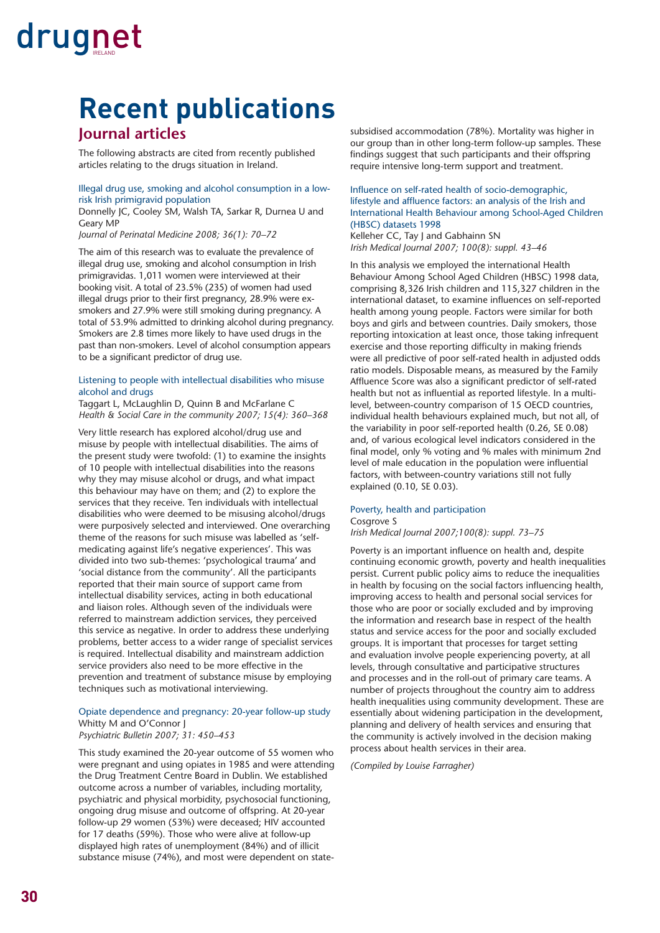# **Recent publications**

#### **Journal articles**

The following abstracts are cited from recently published articles relating to the drugs situation in Ireland.

#### Illegal drug use, smoking and alcohol consumption in a lowrisk Irish primigravid population

Donnelly JC, Cooley SM, Walsh TA, Sarkar R, Durnea U and Geary MP

*Journal of Perinatal Medicine 2008; 36(1): 70–72*

The aim of this research was to evaluate the prevalence of illegal drug use, smoking and alcohol consumption in Irish primigravidas. 1,011 women were interviewed at their booking visit. A total of 23.5% (235) of women had used illegal drugs prior to their first pregnancy, 28.9% were exsmokers and 27.9% were still smoking during pregnancy. A total of 53.9% admitted to drinking alcohol during pregnancy. Smokers are 2.8 times more likely to have used drugs in the past than non-smokers. Level of alcohol consumption appears to be a significant predictor of drug use.

#### Listening to people with intellectual disabilities who misuse alcohol and drugs

Taggart L, McLaughlin D, Quinn B and McFarlane C *Health & Social Care in the community 2007; 15(4): 360–368*

Very little research has explored alcohol/drug use and misuse by people with intellectual disabilities. The aims of the present study were twofold: (1) to examine the insights of 10 people with intellectual disabilities into the reasons why they may misuse alcohol or drugs, and what impact this behaviour may have on them; and (2) to explore the services that they receive. Ten individuals with intellectual disabilities who were deemed to be misusing alcohol/drugs were purposively selected and interviewed. One overarching theme of the reasons for such misuse was labelled as 'selfmedicating against life's negative experiences'. This was divided into two sub-themes: 'psychological trauma' and 'social distance from the community'. All the participants reported that their main source of support came from intellectual disability services, acting in both educational and liaison roles. Although seven of the individuals were referred to mainstream addiction services, they perceived this service as negative. In order to address these underlying problems, better access to a wider range of specialist services is required. Intellectual disability and mainstream addiction service providers also need to be more effective in the prevention and treatment of substance misuse by employing techniques such as motivational interviewing.

#### Opiate dependence and pregnancy: 20-year follow-up study Whitty M and O'Connor J

*Psychiatric Bulletin 2007; 31: 450–453*

This study examined the 20-year outcome of 55 women who were pregnant and using opiates in 1985 and were attending the Drug Treatment Centre Board in Dublin. We established outcome across a number of variables, including mortality, psychiatric and physical morbidity, psychosocial functioning, ongoing drug misuse and outcome of offspring. At 20-year follow-up 29 women (53%) were deceased; HIV accounted for 17 deaths (59%). Those who were alive at follow-up displayed high rates of unemployment (84%) and of illicit substance misuse (74%), and most were dependent on statesubsidised accommodation (78%). Mortality was higher in our group than in other long-term follow-up samples. These findings suggest that such participants and their offspring require intensive long-term support and treatment.

#### Influence on self-rated health of socio-demographic, lifestyle and affluence factors: an analysis of the Irish and International Health Behaviour among School-Aged Children (HBSC) datasets 1998

Kelleher CC, Tay J and Gabhainn SN *Irish Medical Journal 2007; 100(8): suppl. 43–46*

In this analysis we employed the international Health Behaviour Among School Aged Children (HBSC) 1998 data, comprising 8,326 Irish children and 115,327 children in the international dataset, to examine influences on self-reported health among young people. Factors were similar for both boys and girls and between countries. Daily smokers, those reporting intoxication at least once, those taking infrequent exercise and those reporting difficulty in making friends were all predictive of poor self-rated health in adjusted odds ratio models. Disposable means, as measured by the Family Affluence Score was also a significant predictor of self-rated health but not as influential as reported lifestyle. In a multilevel, between-country comparison of 15 OECD countries, individual health behaviours explained much, but not all, of the variability in poor self-reported health (0.26, SE 0.08) and, of various ecological level indicators considered in the final model, only % voting and % males with minimum 2nd level of male education in the population were influential factors, with between-country variations still not fully explained (0.10, SE 0.03).

#### Poverty, health and participation Cosgrove S

*Irish Medical Journal 2007;100(8): suppl. 73–75*

Poverty is an important influence on health and, despite continuing economic growth, poverty and health inequalities persist. Current public policy aims to reduce the inequalities in health by focusing on the social factors influencing health, improving access to health and personal social services for those who are poor or socially excluded and by improving the information and research base in respect of the health status and service access for the poor and socially excluded groups. It is important that processes for target setting and evaluation involve people experiencing poverty, at all levels, through consultative and participative structures and processes and in the roll-out of primary care teams. A number of projects throughout the country aim to address health inequalities using community development. These are essentially about widening participation in the development, planning and delivery of health services and ensuring that the community is actively involved in the decision making process about health services in their area.

*(Compiled by Louise Farragher)*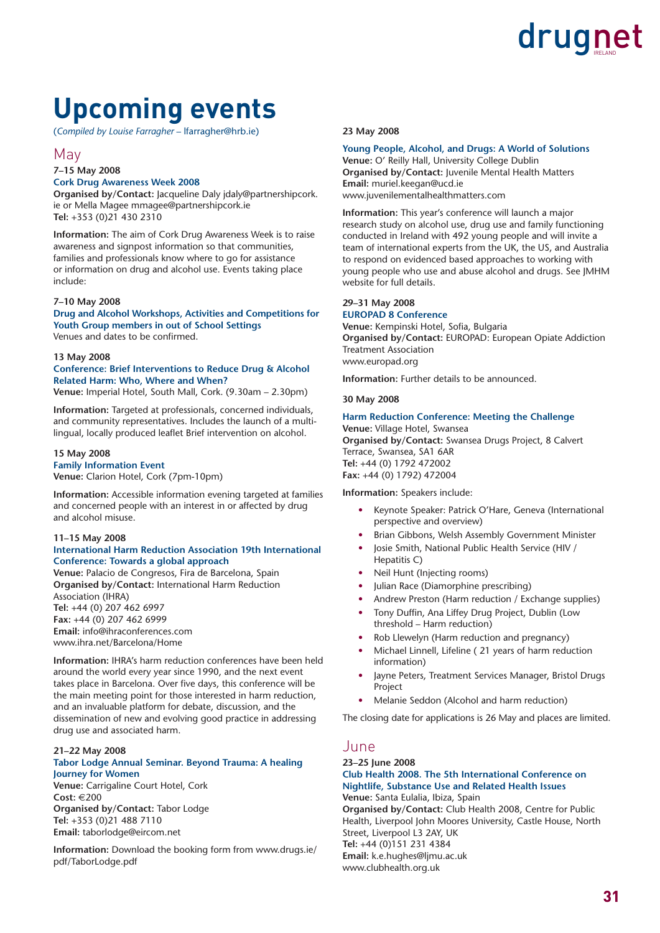### **Upcoming events**

(*Compiled by Louise Farragher* – lfarragher@hrb.ie)

#### May

#### **7–15 May 2008**

**Cork Drug Awareness Week 2008** 

**Organised by/Contact:** Jacqueline Daly jdaly@partnershipcork. ie or Mella Magee mmagee@partnershipcork.ie **Tel:** +353 (0)21 430 2310

**Information:** The aim of Cork Drug Awareness Week is to raise awareness and signpost information so that communities, families and professionals know where to go for assistance or information on drug and alcohol use. Events taking place include:

#### **7–10 May 2008**

**Drug and Alcohol Workshops, Activities and Competitions for Youth Group members in out of School Settings** Venues and dates to be confirmed.

#### **13 May 2008**

**Conference: Brief Interventions to Reduce Drug & Alcohol Related Harm: Who, Where and When?** 

**Venue:** Imperial Hotel, South Mall, Cork. (9.30am – 2.30pm)

**Information:** Targeted at professionals, concerned individuals, and community representatives. Includes the launch of a multilingual, locally produced leaflet Brief intervention on alcohol.

#### **15 May 2008**

**Family Information Event Venue:** Clarion Hotel, Cork (7pm-10pm)

**Information:** Accessible information evening targeted at families and concerned people with an interest in or affected by drug and alcohol misuse.

#### **11–15 May 2008**

#### **International Harm Reduction Association 19th International Conference: Towards a global approach**

**Venue:** Palacio de Congresos, Fira de Barcelona, Spain **Organised by/Contact:** International Harm Reduction Association (IHRA) **Tel:** +44 (0) 207 462 6997 **Fax:** +44 (0) 207 462 6999 **Email:** info@ihraconferences.com www.ihra.net/Barcelona/Home

**Information:** IHRA's harm reduction conferences have been held around the world every year since 1990, and the next event takes place in Barcelona. Over five days, this conference will be the main meeting point for those interested in harm reduction, and an invaluable platform for debate, discussion, and the dissemination of new and evolving good practice in addressing drug use and associated harm.

#### **21–22 May 2008**

#### **Tabor Lodge Annual Seminar. Beyond Trauma: A healing Journey for Women**

**Venue:** Carrigaline Court Hotel, Cork **Cost:** €200 **Organised by/Contact:** Tabor Lodge **Tel:** +353 (0)21 488 7110 **Email:** taborlodge@eircom.net

**Information:** Download the booking form from www.drugs.ie/ pdf/TaborLodge.pdf

#### **23 May 2008**

#### **Young People, Alcohol, and Drugs: A World of Solutions**

**Venue:** O' Reilly Hall, University College Dublin **Organised by/Contact:** Juvenile Mental Health Matters **Email:** muriel.keegan@ucd.ie www.juvenilementalhealthmatters.com

**Information:** This year's conference will launch a major research study on alcohol use, drug use and family functioning conducted in Ireland with 492 young people and will invite a team of international experts from the UK, the US, and Australia to respond on evidenced based approaches to working with young people who use and abuse alcohol and drugs. See JMHM website for full details.

#### **29–31 May 2008**

#### **EUROPAD 8 Conference**

Venue: Kempinski Hotel, Sofia, Bulgaria **Organised by/Contact:** EUROPAD: European Opiate Addiction Treatment Association www.europad.org

**Information:** Further details to be announced.

#### **30 May 2008**

#### **Harm Reduction Conference: Meeting the Challenge**

**Venue:** Village Hotel, Swansea **Organised by/Contact:** Swansea Drugs Project, 8 Calvert Terrace, Swansea, SA1 6AR **Tel:** +44 (0) 1792 472002 **Fax:** +44 (0) 1792) 472004

#### **Information:** Speakers include:

- Keynote Speaker: Patrick O'Hare, Geneva (International perspective and overview)
- Brian Gibbons, Welsh Assembly Government Minister
- Josie Smith, National Public Health Service (HIV / Hepatitis C)
- Neil Hunt (Injecting rooms)
- Julian Race (Diamorphine prescribing)
- Andrew Preston (Harm reduction / Exchange supplies)
- Tony Duffin, Ana Liffey Drug Project, Dublin (Low threshold – Harm reduction)
- Rob Llewelyn (Harm reduction and pregnancy)
- Michael Linnell, Lifeline ( 21 years of harm reduction information)
- Jayne Peters, Treatment Services Manager, Bristol Drugs Project
- Melanie Seddon (Alcohol and harm reduction)

The closing date for applications is 26 May and places are limited.

#### June

#### **23–25 June 2008 Club Health 2008. The 5th International Conference on Nightlife, Substance Use and Related Health Issues**

**Venue:** Santa Eulalia, Ibiza, Spain **Organised by/Contact:** Club Health 2008, Centre for Public Health, Liverpool John Moores University, Castle House, North Street, Liverpool L3 2AY, UK **Tel:** +44 (0)151 231 4384 **Email:** k.e.hughes@ljmu.ac.uk www.clubhealth.org.uk